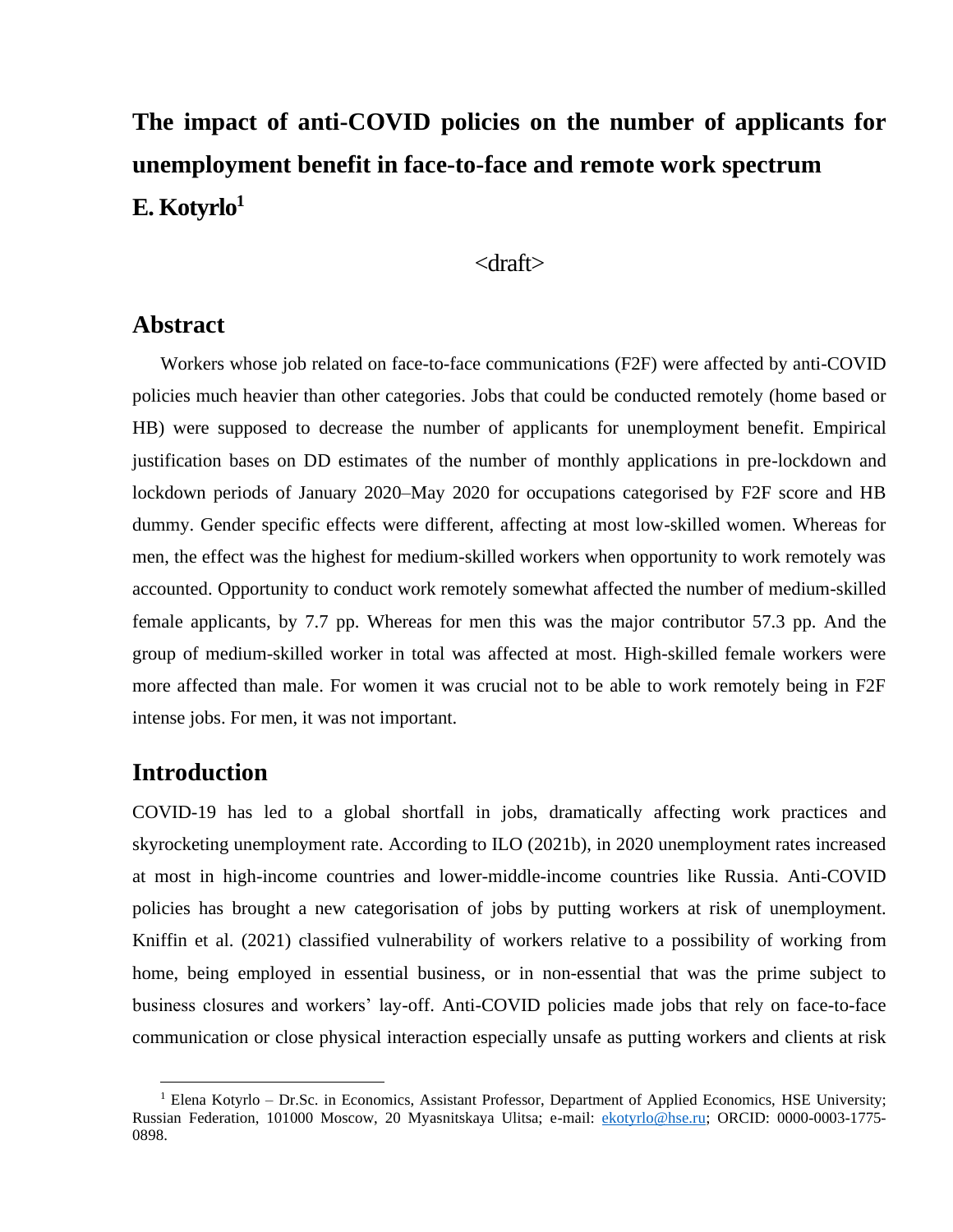# **The impact of anti-COVID policies on the number of applicants for unemployment benefit in face-to-face and remote work spectrum E. Kotyrlo<sup>1</sup>**

#### <draft>

#### **Abstract**

Workers whose job related on face-to-face communications (F2F) were affected by anti-COVID policies much heavier than other categories. Jobs that could be conducted remotely (home based or HB) were supposed to decrease the number of applicants for unemployment benefit. Empirical justification bases on DD estimates of the number of monthly applications in pre-lockdown and lockdown periods of January 2020–May 2020 for occupations categorised by F2F score and HB dummy. Gender specific effects were different, affecting at most low-skilled women. Whereas for men, the effect was the highest for medium-skilled workers when opportunity to work remotely was accounted. Opportunity to conduct work remotely somewhat affected the number of medium-skilled female applicants, by 7.7 pp. Whereas for men this was the major contributor 57.3 pp. And the group of medium-skilled worker in total was affected at most. High-skilled female workers were more affected than male. For women it was crucial not to be able to work remotely being in F2F intense jobs. For men, it was not important.

## **Introduction**

COVID-19 has led to a global shortfall in jobs, dramatically affecting work practices and skyrocketing unemployment rate. According to ILO (2021b), in 2020 unemployment rates increased at most in high-income countries and lower-middle-income countries like Russia. Anti-COVID policies has brought a new categorisation of jobs by putting workers at risk of unemployment. Kniffin et al. (2021) classified vulnerability of workers relative to a possibility of working from home, being employed in essential business, or in non-essential that was the prime subject to business closures and workers' lay-off. Anti-COVID policies made jobs that rely on face-to-face communication or close physical interaction especially unsafe as putting workers and clients at risk

 $1$  Elena Kotyrlo – Dr.Sc. in Economics, Assistant Professor, Department of Applied Economics, HSE University; Russian Federation, 101000 Moscow, 20 Myasnitskaya Ulitsa; e-mail: [ekotyrlo@hse.ru;](mailto:ekotyrlo@hse.ru) ORCID: 0000-0003-1775- 0898.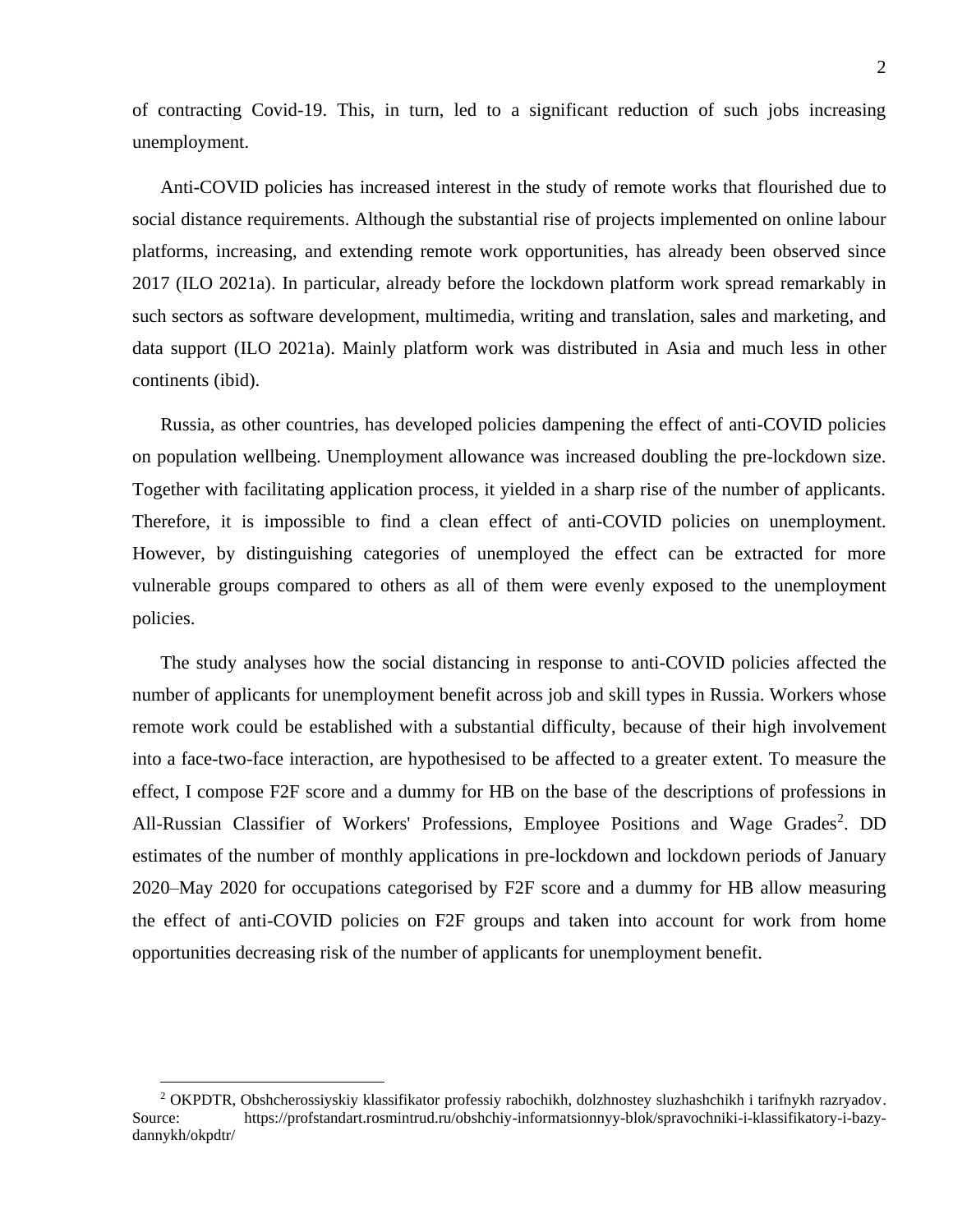of contracting Covid-19. This, in turn, led to a significant reduction of such jobs increasing unemployment.

Anti-COVID policies has increased interest in the study of remote works that flourished due to social distance requirements. Although the substantial rise of projects implemented on online labour platforms, increasing, and extending remote work opportunities, has already been observed since 2017 (ILO 2021a). In particular, already before the lockdown platform work spread remarkably in such sectors as software development, multimedia, writing and translation, sales and marketing, and data support (ILO 2021a). Mainly platform work was distributed in Asia and much less in other continents (ibid).

Russia, as other countries, has developed policies dampening the effect of anti-COVID policies on population wellbeing. Unemployment allowance was increased doubling the pre-lockdown size. Together with facilitating application process, it yielded in a sharp rise of the number of applicants. Therefore, it is impossible to find a clean effect of anti-COVID policies on unemployment. However, by distinguishing categories of unemployed the effect can be extracted for more vulnerable groups compared to others as all of them were evenly exposed to the unemployment policies.

The study analyses how the social distancing in response to anti-COVID policies affected the number of applicants for unemployment benefit across job and skill types in Russia. Workers whose remote work could be established with a substantial difficulty, because of their high involvement into a face-two-face interaction, are hypothesised to be affected to a greater extent. To measure the effect, I compose F2F score and a dummy for HB on the base of the descriptions of professions in All-Russian Classifier of Workers' Professions, Employee Positions and Wage Grades<sup>2</sup>. DD estimates of the number of monthly applications in pre-lockdown and lockdown periods of January 2020–May 2020 for occupations categorised by F2F score and a dummy for HB allow measuring the effect of anti-COVID policies on F2F groups and taken into account for work from home opportunities decreasing risk of the number of applicants for unemployment benefit.

<sup>2</sup> OKPDTR, Obshcherossiyskiy klassifikator professiy rabochikh, dolzhnostey sluzhashchikh i tarifnykh razryadov. Source: https://profstandart.rosmintrud.ru/obshchiy-informatsionnyy-blok/spravochniki-i-klassifikatory-i-bazydannykh/okpdtr/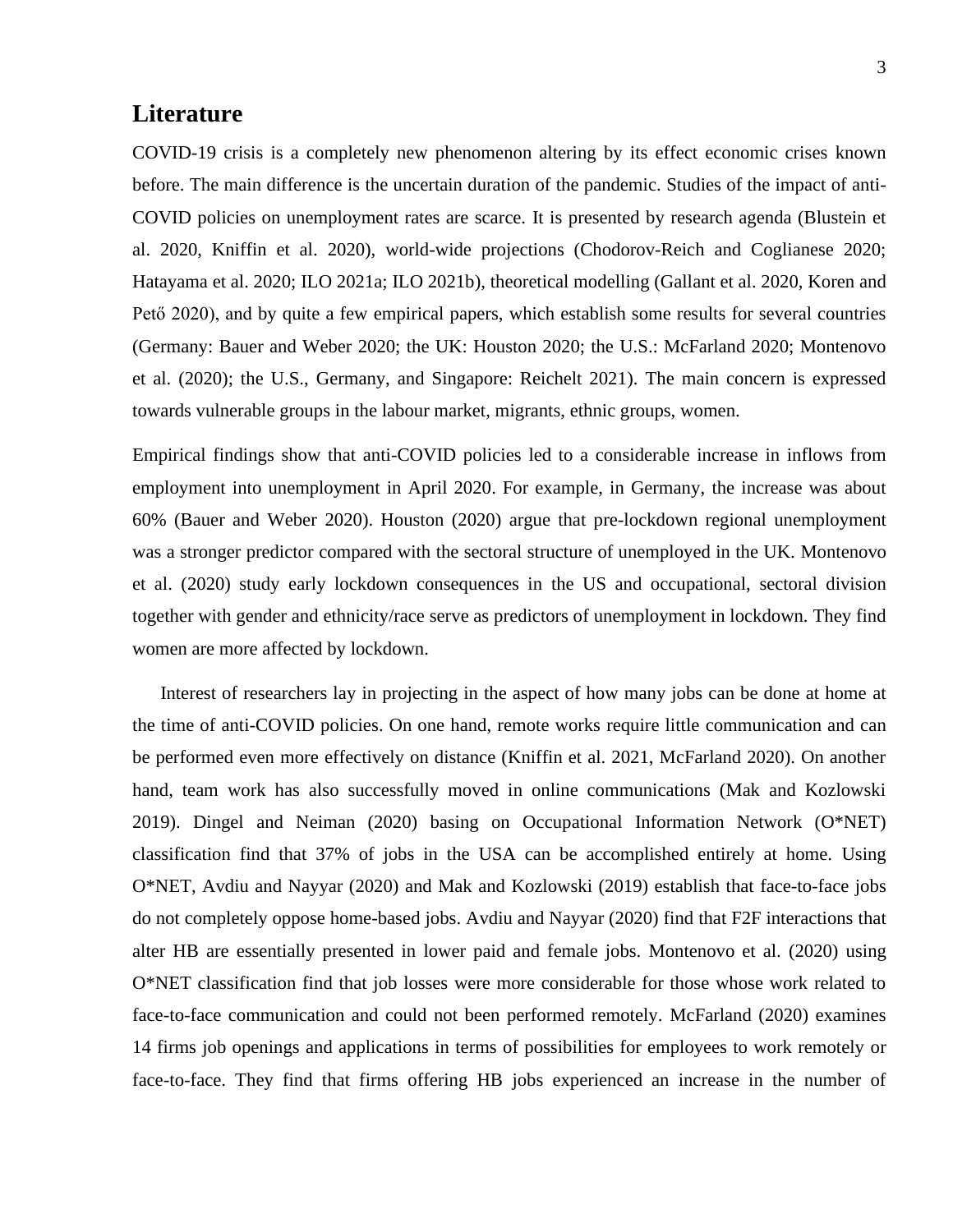## **Literature**

COVID-19 crisis is a completely new phenomenon altering by its effect economic crises known before. The main difference is the uncertain duration of the pandemic. Studies of the impact of anti-COVID policies on unemployment rates are scarce. It is presented by research agenda (Blustein et al. 2020, Kniffin et al. 2020), world-wide projections (Chodorov-Reich and Coglianese 2020; Hatayama et al. 2020; ILO 2021a; ILO 2021b), theoretical modelling (Gallant et al. 2020, Koren and Pető 2020), and by quite a few empirical papers, which establish some results for several countries (Germany: Bauer and Weber 2020; the UK: Houston 2020; the U.S.: McFarland 2020; Montenovo et al. (2020); the U.S., Germany, and Singapore: Reichelt 2021). The main concern is expressed towards vulnerable groups in the labour market, migrants, ethnic groups, women.

Empirical findings show that anti-COVID policies led to a considerable increase in inflows from employment into unemployment in April 2020. For example, in Germany, the increase was about 60% (Bauer and Weber 2020). Houston (2020) argue that pre-lockdown regional unemployment was a stronger predictor compared with the sectoral structure of unemployed in the UK. Montenovo et al. (2020) study early lockdown consequences in the US and occupational, sectoral division together with gender and ethnicity/race serve as predictors of unemployment in lockdown. They find women are more affected by lockdown.

Interest of researchers lay in projecting in the aspect of how many jobs can be done at home at the time of anti-COVID policies. On one hand, remote works require little communication and can be performed even more effectively on distance (Kniffin et al. 2021, McFarland 2020). On another hand, team work has also successfully moved in online communications (Mak and Kozlowski 2019). Dingel and Neiman (2020) basing on Occupational Information Network (O\*NET) classification find that 37% of jobs in the USA can be accomplished entirely at home. Using O\*NET, Avdiu and Nayyar (2020) and Mak and Kozlowski (2019) establish that face-to-face jobs do not completely oppose home-based jobs. Avdiu and Nayyar (2020) find that F2F interactions that alter HB are essentially presented in lower paid and female jobs. Montenovo et al. (2020) using O\*NET classification find that job losses were more considerable for those whose work related to face-to-face communication and could not been performed remotely. McFarland (2020) examines 14 firms job openings and applications in terms of possibilities for employees to work remotely or face-to-face. They find that firms offering HB jobs experienced an increase in the number of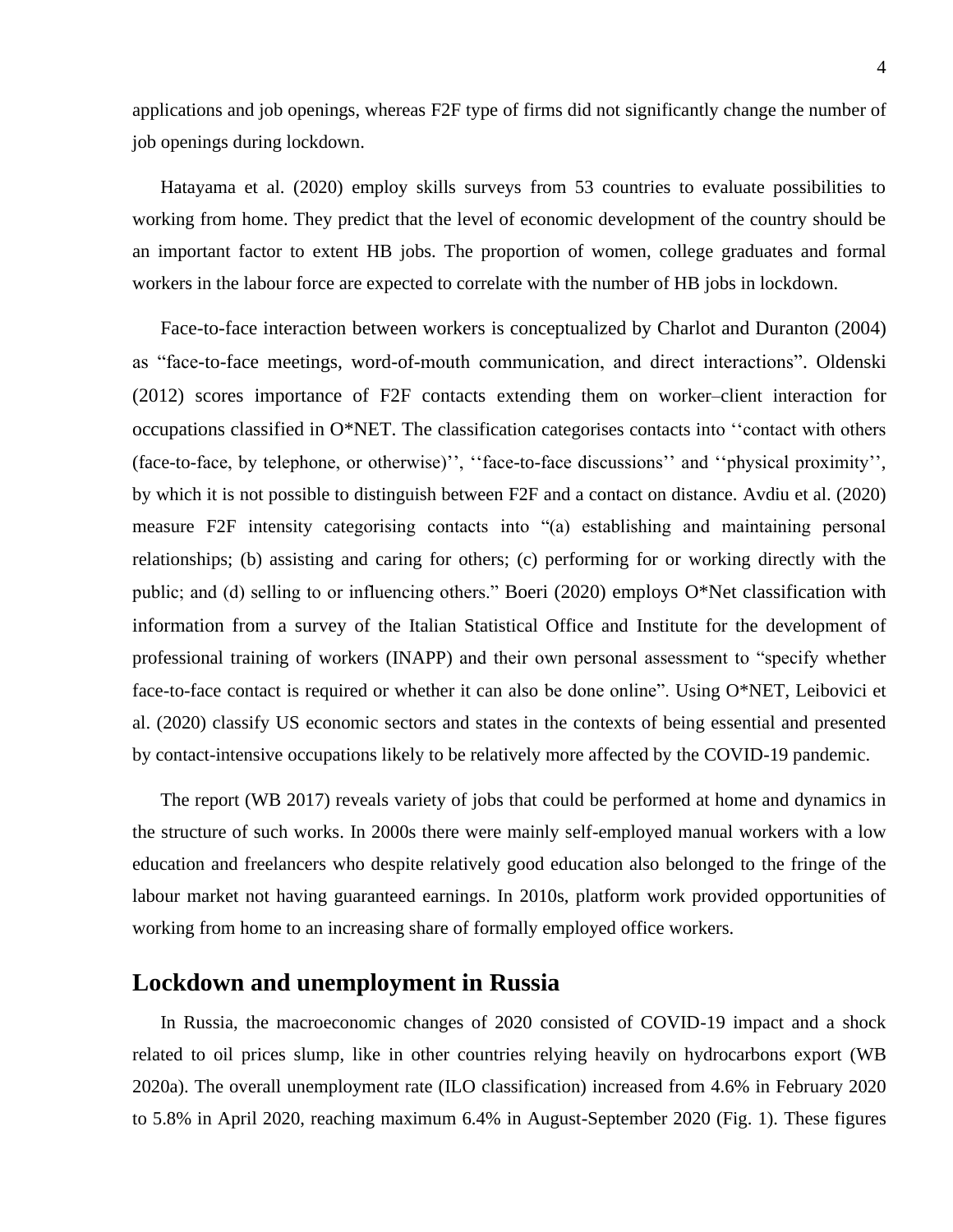applications and job openings, whereas F2F type of firms did not significantly change the number of job openings during lockdown.

Hatayama et al. (2020) employ skills surveys from 53 countries to evaluate possibilities to working from home. They predict that the level of economic development of the country should be an important factor to extent HB jobs. The proportion of women, college graduates and formal workers in the labour force are expected to correlate with the number of HB jobs in lockdown.

Face-to-face interaction between workers is conceptualized by Charlot and Duranton (2004) as "face-to-face meetings, word-of-mouth communication, and direct interactions". Oldenski (2012) scores importance of F2F contacts extending them on worker–client interaction for occupations classified in O\*NET. The classification categorises contacts into ''contact with others (face-to-face, by telephone, or otherwise)'', ''face-to-face discussions'' and ''physical proximity'', by which it is not possible to distinguish between F2F and a contact on distance. Avdiu et al. (2020) measure F2F intensity categorising contacts into "(a) establishing and maintaining personal relationships; (b) assisting and caring for others; (c) performing for or working directly with the public; and (d) selling to or influencing others." Boeri (2020) employs O\*Net classification with information from a survey of the Italian Statistical Office and Institute for the development of professional training of workers (INAPP) and their own personal assessment to "specify whether face-to-face contact is required or whether it can also be done online". Using O\*NET, Leibovici et al. (2020) classify US economic sectors and states in the contexts of being essential and presented by contact-intensive occupations likely to be relatively more affected by the COVID-19 pandemic.

The report (WB 2017) reveals variety of jobs that could be performed at home and dynamics in the structure of such works. In 2000s there were mainly self-employed manual workers with a low education and freelancers who despite relatively good education also belonged to the fringe of the labour market not having guaranteed earnings. In 2010s, platform work provided opportunities of working from home to an increasing share of formally employed office workers.

#### **Lockdown and unemployment in Russia**

In Russia, the macroeconomic changes of 2020 consisted of COVID-19 impact and a shock related to oil prices slump, like in other countries relying heavily on hydrocarbons export (WB 2020a). The overall unemployment rate (ILO classification) increased from 4.6% in February 2020 to 5.8% in April 2020, reaching maximum 6.4% in August-September 2020 (Fig. 1). These figures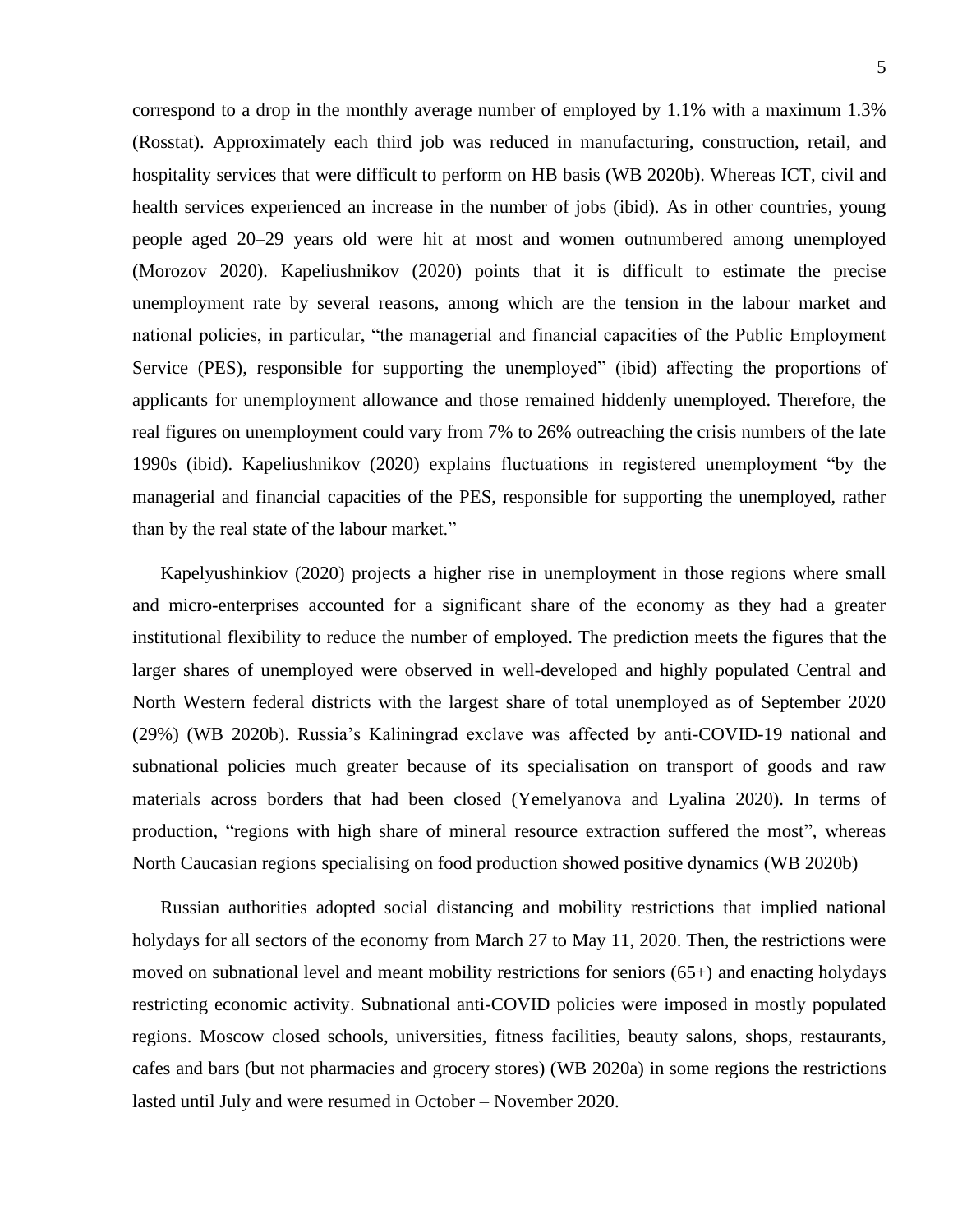5

correspond to a drop in the monthly average number of employed by 1.1% with a maximum 1.3% (Rosstat). Approximately each third job was reduced in manufacturing, construction, retail, and hospitality services that were difficult to perform on HB basis (WB 2020b). Whereas ICT, civil and health services experienced an increase in the number of jobs (ibid). As in other countries, young people aged 20–29 years old were hit at most and women outnumbered among unemployed (Morozov 2020). Kapeliushnikov (2020) points that it is difficult to estimate the precise unemployment rate by several reasons, among which are the tension in the labour market and national policies, in particular, "the managerial and financial capacities of the Public Employment Service (PES), responsible for supporting the unemployed" (ibid) affecting the proportions of applicants for unemployment allowance and those remained hiddenly unemployed. Therefore, the real figures on unemployment could vary from 7% to 26% outreaching the crisis numbers of the late 1990s (ibid). Kapeliushnikov (2020) explains fluctuations in registered unemployment "by the managerial and financial capacities of the PES, responsible for supporting the unemployed, rather than by the real state of the labour market."

Kapelyushinkiov (2020) projects a higher rise in unemployment in those regions where small and micro-enterprises accounted for a significant share of the economy as they had a greater institutional flexibility to reduce the number of employed. The prediction meets the figures that the larger shares of unemployed were observed in well-developed and highly populated Central and North Western federal districts with the largest share of total unemployed as of September 2020 (29%) (WB 2020b). Russia's Kaliningrad exclave was affected by anti-COVID-19 national and subnational policies much greater because of its specialisation on transport of goods and raw materials across borders that had been closed (Yemelyanova and Lyalina 2020). In terms of production, "regions with high share of mineral resource extraction suffered the most", whereas North Caucasian regions specialising on food production showed positive dynamics (WB 2020b)

Russian authorities adopted social distancing and mobility restrictions that implied national holydays for all sectors of the economy from March 27 to May 11, 2020. Then, the restrictions were moved on subnational level and meant mobility restrictions for seniors (65+) and enacting holydays restricting economic activity. Subnational anti-COVID policies were imposed in mostly populated regions. Moscow closed schools, universities, fitness facilities, beauty salons, shops, restaurants, cafes and bars (but not pharmacies and grocery stores) (WB 2020a) in some regions the restrictions lasted until July and were resumed in October – November 2020.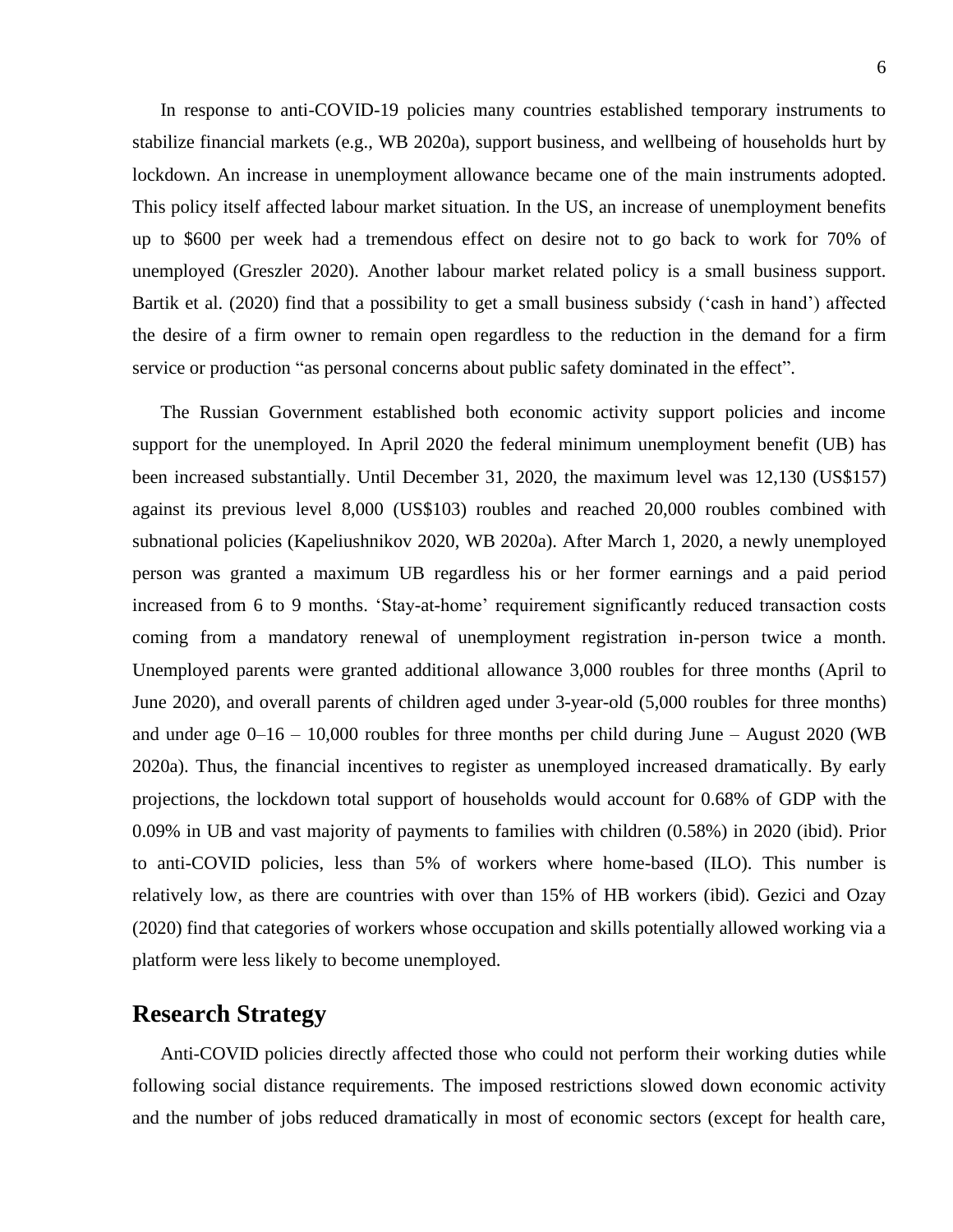In response to anti-COVID-19 policies many countries established temporary instruments to stabilize financial markets (e.g., WB 2020a), support business, and wellbeing of households hurt by lockdown. An increase in unemployment allowance became one of the main instruments adopted. This policy itself affected labour market situation. In the US, an increase of unemployment benefits up to \$600 per week had a tremendous effect on desire not to go back to work for 70% of unemployed (Greszler 2020). Another labour market related policy is a small business support. Bartik et al. (2020) find that a possibility to get a small business subsidy ('cash in hand') affected the desire of a firm owner to remain open regardless to the reduction in the demand for a firm service or production "as personal concerns about public safety dominated in the effect".

The Russian Government established both economic activity support policies and income support for the unemployed. In April 2020 the federal minimum unemployment benefit (UB) has been increased substantially. Until December 31, 2020, the maximum level was 12,130 (US\$157) against its previous level 8,000 (US\$103) roubles and reached 20,000 roubles combined with subnational policies (Kapeliushnikov 2020, WB 2020a). After March 1, 2020, a newly unemployed person was granted a maximum UB regardless his or her former earnings and a paid period increased from 6 to 9 months. 'Stay-at-home' requirement significantly reduced transaction costs coming from a mandatory renewal of unemployment registration in-person twice a month. Unemployed parents were granted additional allowance 3,000 roubles for three months (April to June 2020), and overall parents of children aged under 3-year-old (5,000 roubles for three months) and under age  $0-16 - 10,000$  roubles for three months per child during June – August 2020 (WB 2020a). Thus, the financial incentives to register as unemployed increased dramatically. By early projections, the lockdown total support of households would account for 0.68% of GDP with the 0.09% in UB and vast majority of payments to families with children (0.58%) in 2020 (ibid). Prior to anti-COVID policies, less than 5% of workers where home-based (ILO). This number is relatively low, as there are countries with over than 15% of HB workers (ibid). Gezici and Ozay (2020) find that categories of workers whose occupation and skills potentially allowed working via a platform were less likely to become unemployed.

#### **Research Strategy**

Anti-COVID policies directly affected those who could not perform their working duties while following social distance requirements. The imposed restrictions slowed down economic activity and the number of jobs reduced dramatically in most of economic sectors (except for health care,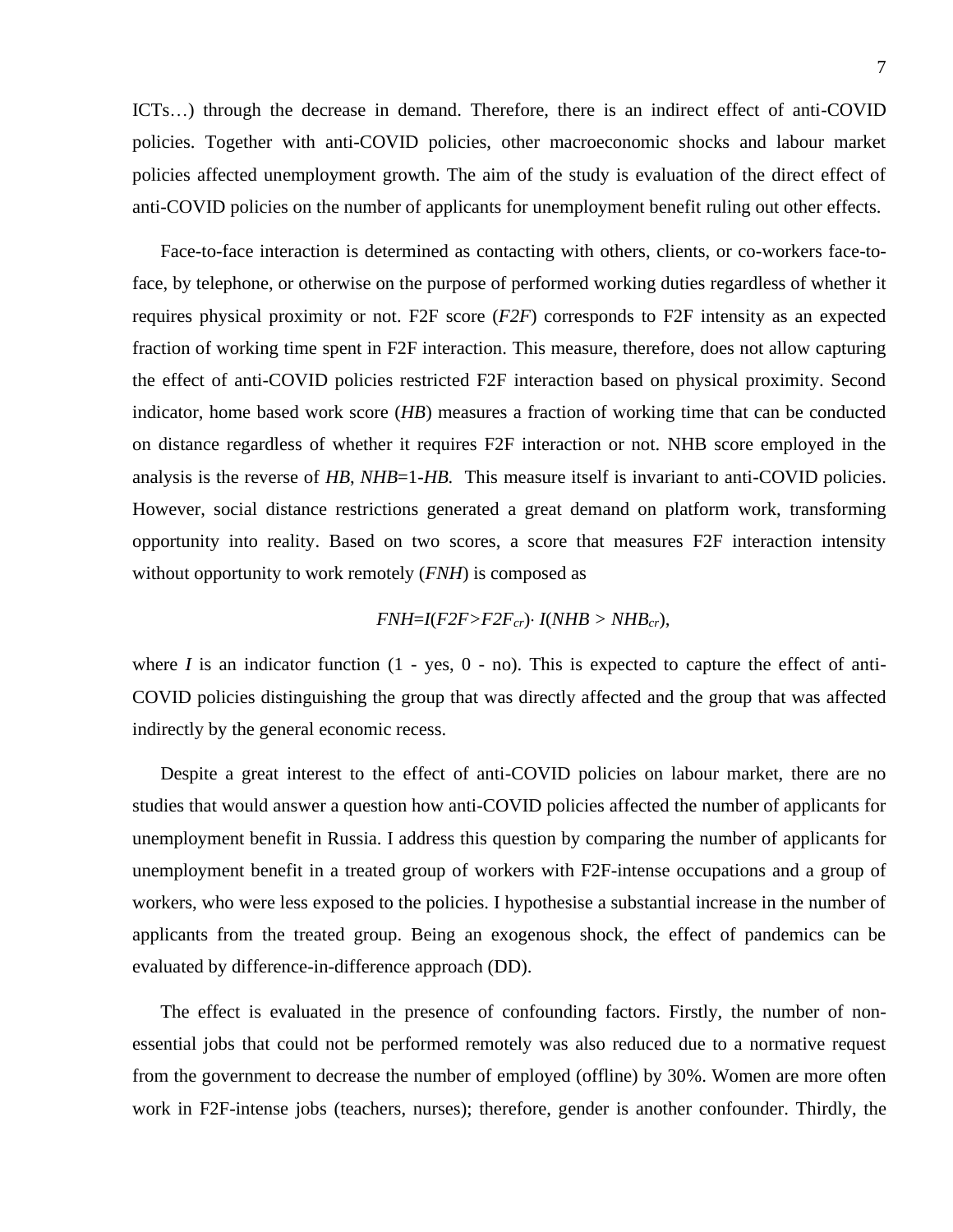ICTs…) through the decrease in demand. Therefore, there is an indirect effect of anti-COVID policies. Together with anti-COVID policies, other macroeconomic shocks and labour market policies affected unemployment growth. The aim of the study is evaluation of the direct effect of anti-COVID policies on the number of applicants for unemployment benefit ruling out other effects.

Face-to-face interaction is determined as contacting with others, clients, or co-workers face-toface, by telephone, or otherwise on the purpose of performed working duties regardless of whether it requires physical proximity or not. F2F score (*F2F*) corresponds to F2F intensity as an expected fraction of working time spent in F2F interaction. This measure, therefore, does not allow capturing the effect of anti-COVID policies restricted F2F interaction based on physical proximity. Second indicator, home based work score (*HB*) measures a fraction of working time that can be conducted on distance regardless of whether it requires F2F interaction or not. NHB score employed in the analysis is the reverse of *HB*, *NHB*=1-*HB.* This measure itself is invariant to anti-COVID policies. However, social distance restrictions generated a great demand on platform work, transforming opportunity into reality. Based on two scores, a score that measures F2F interaction intensity without opportunity to work remotely (*FNH*) is composed as

#### $FWH = I(F2F > F2F_{cr})$   $I(NHB > NHB_{cr})$ ,

where *I* is an indicator function  $(1 - yes, 0 - no)$ . This is expected to capture the effect of anti-COVID policies distinguishing the group that was directly affected and the group that was affected indirectly by the general economic recess.

Despite a great interest to the effect of anti-COVID policies on labour market, there are no studies that would answer a question how anti-COVID policies affected the number of applicants for unemployment benefit in Russia. I address this question by comparing the number of applicants for unemployment benefit in a treated group of workers with F2F-intense occupations and a group of workers, who were less exposed to the policies. I hypothesise a substantial increase in the number of applicants from the treated group. Being an exogenous shock, the effect of pandemics can be evaluated by difference-in-difference approach (DD).

The effect is evaluated in the presence of confounding factors. Firstly, the number of nonessential jobs that could not be performed remotely was also reduced due to a normative request from the government to decrease the number of employed (offline) by 30%. Women are more often work in F2F-intense jobs (teachers, nurses); therefore, gender is another confounder. Thirdly, the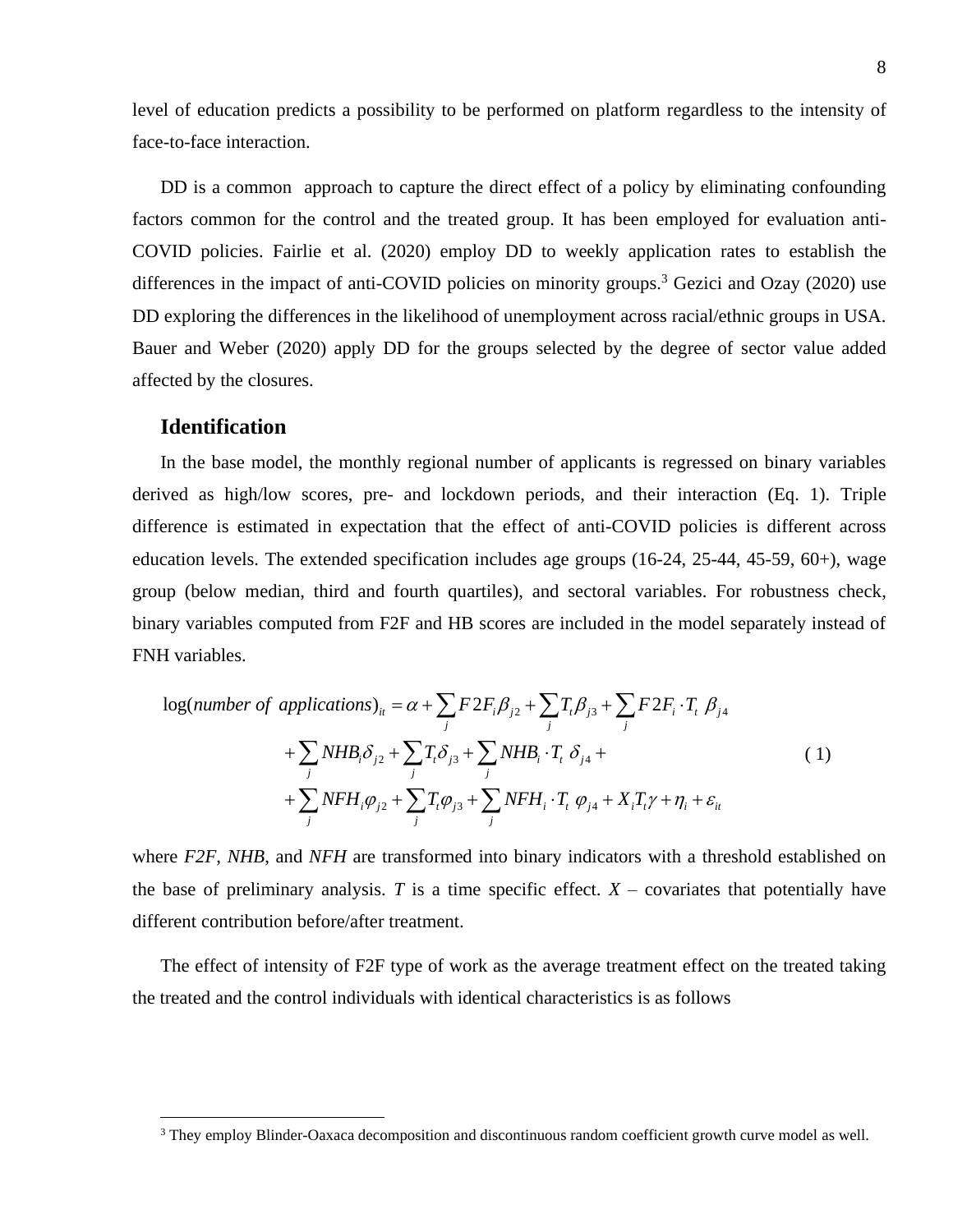level of education predicts a possibility to be performed on platform regardless to the intensity of face-to-face interaction.

DD is a common approach to capture the direct effect of a policy by eliminating confounding factors common for the control and the treated group. It has been employed for evaluation anti-COVID policies. Fairlie et al. (2020) employ DD to weekly application rates to establish the differences in the impact of anti-COVID policies on minority groups.<sup>3</sup> Gezici and Ozay (2020) use DD exploring the differences in the likelihood of unemployment across racial/ethnic groups in USA. Bauer and Weber (2020) apply DD for the groups selected by the degree of sector value added affected by the closures.

#### **Identification**

In the base model, the monthly regional number of applicants is regressed on binary variables derived as high/low scores, pre- and lockdown periods, and their interaction (Eq. 1). Triple difference is estimated in expectation that the effect of anti-COVID policies is different across education levels. The extended specification includes age groups (16-24, 25-44, 45-59, 60+), wage group (below median, third and fourth quartiles), and sectoral variables. For robustness check, binary variables computed from F2F and HB scores are included in the model separately instead of FNH variables.

$$
\log(number\ of\ applications)_{it} = \alpha + \sum_{j} F2F_{i}\beta_{j2} + \sum_{j} T_{i}\beta_{j3} + \sum_{j} F2F_{i} \cdot T_{i} \beta_{j4} + \sum_{j} NHB_{i}\delta_{j2} + \sum_{j} T_{i}\delta_{j3} + \sum_{j} NHB_{i} \cdot T_{i} \delta_{j4} + \sum_{j} NFH_{i}\varphi_{j2} + \sum_{j} T_{i}\varphi_{j3} + \sum_{j} NFH_{i} \cdot T_{i} \varphi_{j4} + X_{i}T_{i}\gamma + \eta_{i} + \varepsilon_{it}
$$
\n(1)

where *F2F*, *NHB*, and *NFH* are transformed into binary indicators with a threshold established on the base of preliminary analysis. *T* is a time specific effect.  $X$  – covariates that potentially have different contribution before/after treatment.

The effect of intensity of F2F type of work as the average treatment effect on the treated taking the treated and the control individuals with identical characteristics is as follows

<sup>&</sup>lt;sup>3</sup> They employ Blinder-Oaxaca decomposition and discontinuous random coefficient growth curve model as well.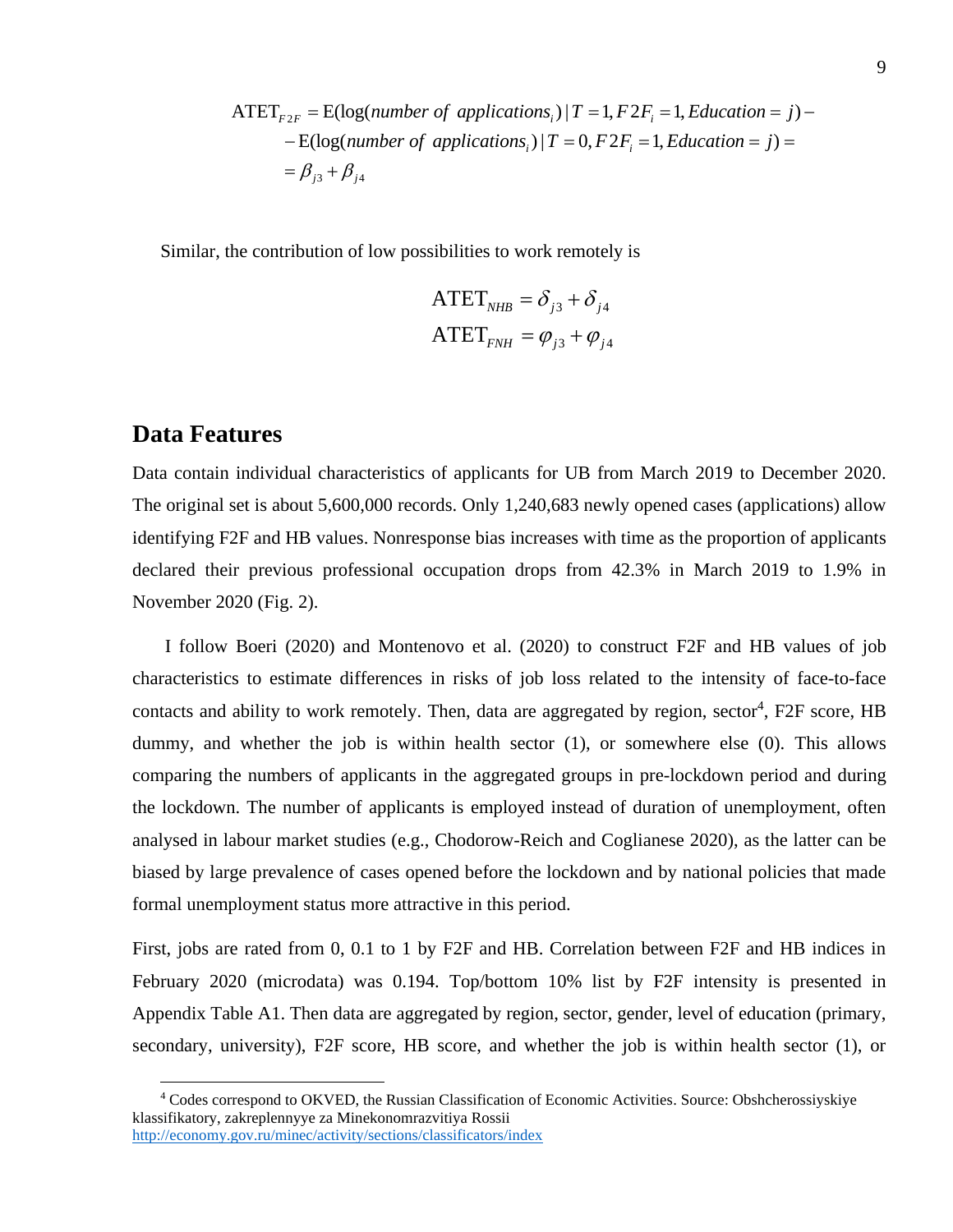$$
ATET_{F2F} = E(log(number of applications_i) | T = 1, F2F_i = 1, Education = j) -
$$
  
- E(log(number of applications<sub>i</sub>) | T = 0, F2F<sub>i</sub> = 1, Education = j) =  
=  $\beta_{j3} + \beta_{j4}$ 

Similar, the contribution of low possibilities to work remotely is

$$
ATETNHB = \delta_{j3} + \delta_{j4}
$$
  
ATET<sub>FNH</sub> =  $\varphi_{j3} + \varphi_{j4}$ 

#### **Data Features**

Data contain individual characteristics of applicants for UB from March 2019 to December 2020. The original set is about 5,600,000 records. Only 1,240,683 newly opened cases (applications) allow identifying F2F and HB values. Nonresponse bias increases with time as the proportion of applicants declared their previous professional occupation drops from 42.3% in March 2019 to 1.9% in November 2020 (Fig. 2).

I follow Boeri (2020) and Montenovo et al. (2020) to construct F2F and HB values of job characteristics to estimate differences in risks of job loss related to the intensity of face-to-face contacts and ability to work remotely. Then, data are aggregated by region, sector<sup>4</sup>, F2F score, HB dummy, and whether the job is within health sector (1), or somewhere else (0). This allows comparing the numbers of applicants in the aggregated groups in pre-lockdown period and during the lockdown. The number of applicants is employed instead of duration of unemployment, often analysed in labour market studies (e.g., Chodorow-Reich and Coglianese 2020), as the latter can be biased by large prevalence of cases opened before the lockdown and by national policies that made formal unemployment status more attractive in this period.

First, jobs are rated from 0, 0.1 to 1 by F2F and HB. Correlation between F2F and HB indices in February 2020 (microdata) was 0.194. Top/bottom 10% list by F2F intensity is presented in Appendix Table A1. Then data are aggregated by region, sector, gender, level of education (primary, secondary, university), F2F score, HB score, and whether the job is within health sector (1), or

<sup>4</sup> Codes correspond to OKVED, the Russian Classification of Economic Activities. Source: Obshcherossiyskiye klassifikatory, zakreplennyye za Minekonomrazvitiya Rossii <http://economy.gov.ru/minec/activity/sections/classificators/index>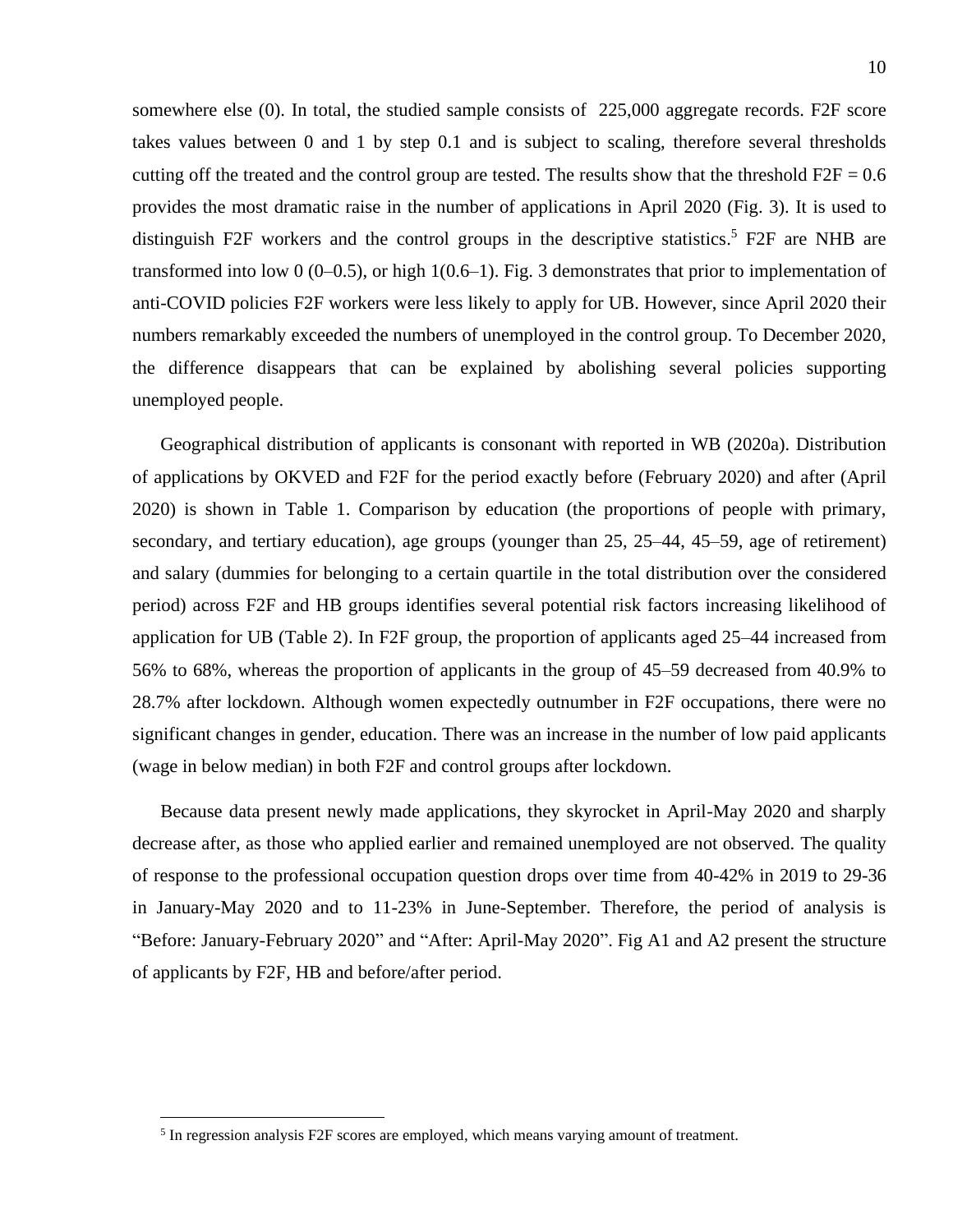somewhere else (0). In total, the studied sample consists of 225,000 aggregate records. F2F score takes values between 0 and 1 by step 0.1 and is subject to scaling, therefore several thresholds cutting off the treated and the control group are tested. The results show that the threshold  $F2F = 0.6$ provides the most dramatic raise in the number of applications in April 2020 (Fig. 3). It is used to distinguish F2F workers and the control groups in the descriptive statistics.<sup>5</sup> F2F are NHB are transformed into low 0 (0–0.5), or high  $1(0.6-1)$ . Fig. 3 demonstrates that prior to implementation of anti-COVID policies F2F workers were less likely to apply for UB. However, since April 2020 their numbers remarkably exceeded the numbers of unemployed in the control group. To December 2020, the difference disappears that can be explained by abolishing several policies supporting unemployed people.

Geographical distribution of applicants is consonant with reported in WB (2020a). Distribution of applications by OKVED and F2F for the period exactly before (February 2020) and after (April 2020) is shown in Table 1. Comparison by education (the proportions of people with primary, secondary, and tertiary education), age groups (younger than 25, 25–44, 45–59, age of retirement) and salary (dummies for belonging to a certain quartile in the total distribution over the considered period) across F2F and HB groups identifies several potential risk factors increasing likelihood of application for UB (Table 2). In F2F group, the proportion of applicants aged 25–44 increased from 56% to 68%, whereas the proportion of applicants in the group of 45–59 decreased from 40.9% to 28.7% after lockdown. Although women expectedly outnumber in F2F occupations, there were no significant changes in gender, education. There was an increase in the number of low paid applicants (wage in below median) in both F2F and control groups after lockdown.

Because data present newly made applications, they skyrocket in April-May 2020 and sharply decrease after, as those who applied earlier and remained unemployed are not observed. The quality of response to the professional occupation question drops over time from 40-42% in 2019 to 29-36 in January-May 2020 and to 11-23% in June-September. Therefore, the period of analysis is "Before: January-February 2020" and "After: April-May 2020". Fig A1 and A2 present the structure of applicants by F2F, HB and before/after period.

<sup>&</sup>lt;sup>5</sup> In regression analysis F2F scores are employed, which means varying amount of treatment.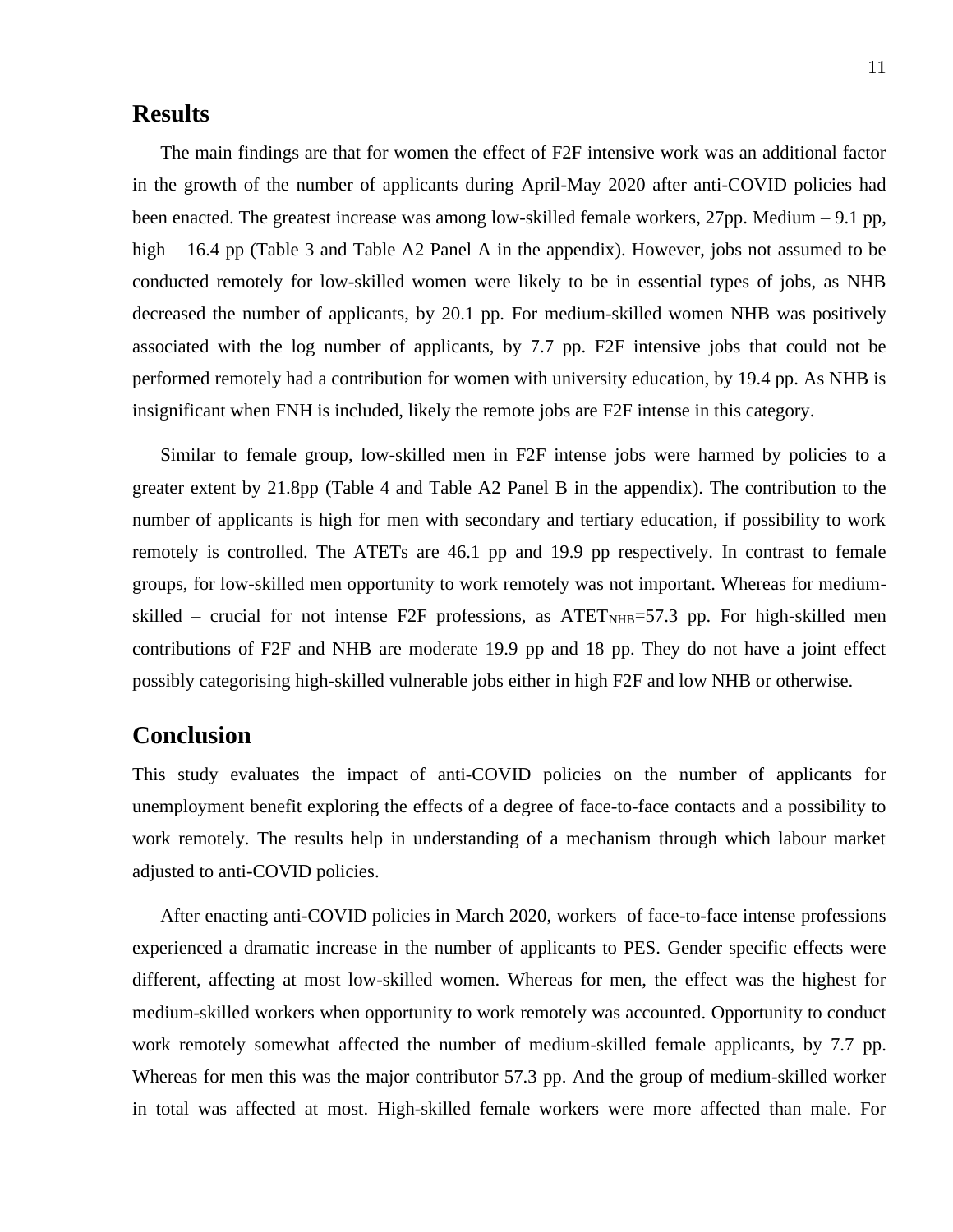#### **Results**

The main findings are that for women the effect of F2F intensive work was an additional factor in the growth of the number of applicants during April-May 2020 after anti-COVID policies had been enacted. The greatest increase was among low-skilled female workers, 27pp. Medium – 9.1 pp, high – 16.4 pp (Table 3 and Table A2 Panel A in the appendix). However, jobs not assumed to be conducted remotely for low-skilled women were likely to be in essential types of jobs, as NHB decreased the number of applicants, by 20.1 pp. For medium-skilled women NHB was positively associated with the log number of applicants, by 7.7 pp. F2F intensive jobs that could not be performed remotely had a contribution for women with university education, by 19.4 pp. As NHB is insignificant when FNH is included, likely the remote jobs are F2F intense in this category.

Similar to female group, low-skilled men in F2F intense jobs were harmed by policies to a greater extent by 21.8pp (Table 4 and Table A2 Panel B in the appendix). The contribution to the number of applicants is high for men with secondary and tertiary education, if possibility to work remotely is controlled. The ATETs are 46.1 pp and 19.9 pp respectively. In contrast to female groups, for low-skilled men opportunity to work remotely was not important. Whereas for mediumskilled – crucial for not intense F2F professions, as  $\text{ATET}_{\text{NHB}}$ =57.3 pp. For high-skilled men contributions of F2F and NHB are moderate 19.9 pp and 18 pp. They do not have a joint effect possibly categorising high-skilled vulnerable jobs either in high F2F and low NHB or otherwise.

## **Conclusion**

This study evaluates the impact of anti-COVID policies on the number of applicants for unemployment benefit exploring the effects of a degree of face-to-face contacts and a possibility to work remotely. The results help in understanding of a mechanism through which labour market adjusted to anti-COVID policies.

After enacting anti-COVID policies in March 2020, workers of face-to-face intense professions experienced a dramatic increase in the number of applicants to PES. Gender specific effects were different, affecting at most low-skilled women. Whereas for men, the effect was the highest for medium-skilled workers when opportunity to work remotely was accounted. Opportunity to conduct work remotely somewhat affected the number of medium-skilled female applicants, by 7.7 pp. Whereas for men this was the major contributor 57.3 pp. And the group of medium-skilled worker in total was affected at most. High-skilled female workers were more affected than male. For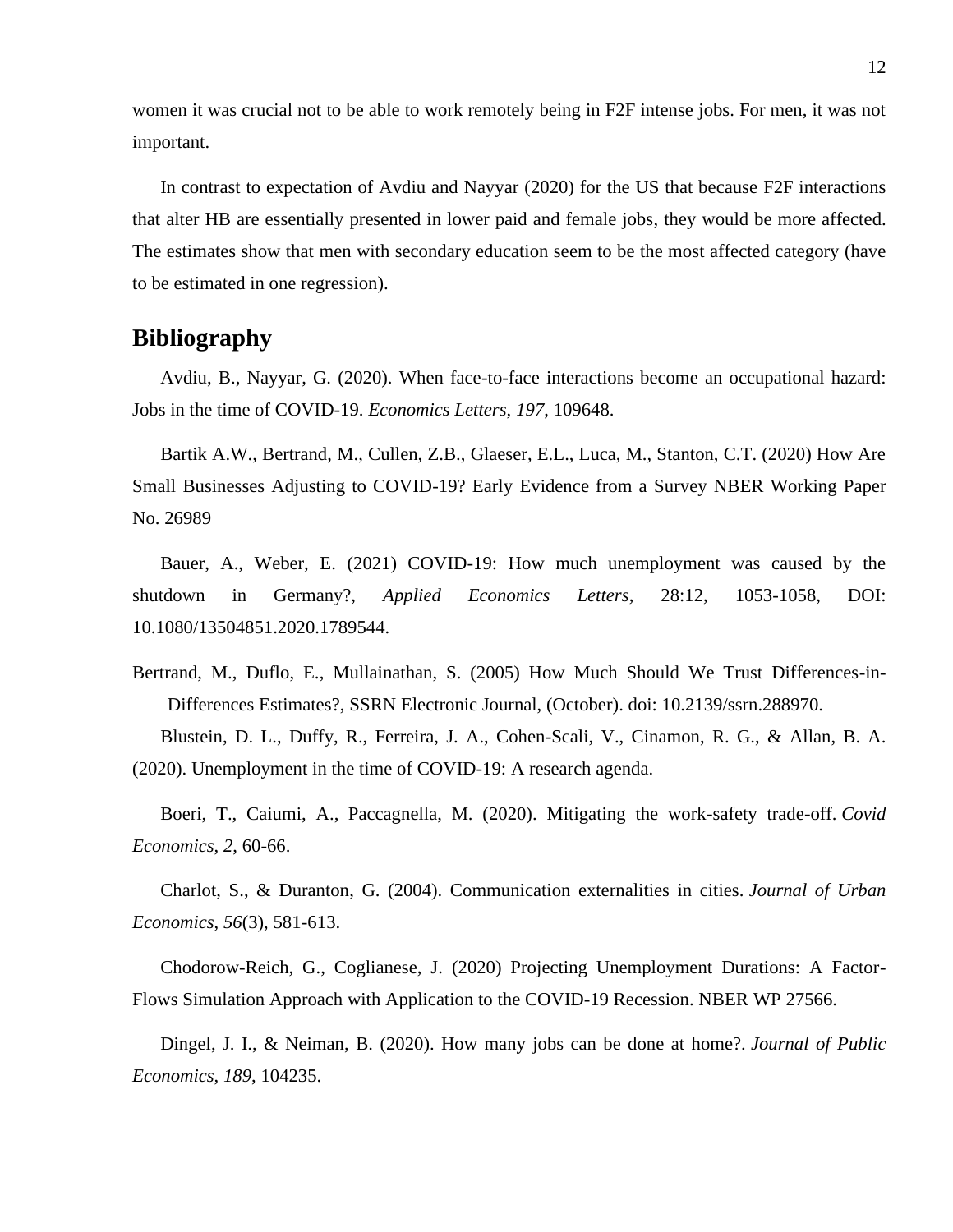women it was crucial not to be able to work remotely being in F2F intense jobs. For men, it was not important.

In contrast to expectation of Avdiu and Nayyar (2020) for the US that because F2F interactions that alter HB are essentially presented in lower paid and female jobs, they would be more affected. The estimates show that men with secondary education seem to be the most affected category (have to be estimated in one regression).

### **Bibliography**

Avdiu, B., Nayyar, G. (2020). When face-to-face interactions become an occupational hazard: Jobs in the time of COVID-19. *Economics Letters*, *197*, 109648.

Bartik A.W., Bertrand, M., Cullen, Z.B., Glaeser, E.L., Luca, M., Stanton, C.T. (2020) How Are Small Businesses Adjusting to COVID-19? Early Evidence from a Survey NBER Working Paper No. 26989

Bauer, A., Weber, E. (2021) COVID-19: How much unemployment was caused by the shutdown in Germany?, *Applied Economics Letters*, 28:12, 1053-1058, DOI: 10.1080/13504851.2020.1789544.

Bertrand, M., Duflo, E., Mullainathan, S. (2005) How Much Should We Trust Differences-in-Differences Estimates?, SSRN Electronic Journal, (October). doi: 10.2139/ssrn.288970.

Blustein, D. L., Duffy, R., Ferreira, J. A., Cohen-Scali, V., Cinamon, R. G., & Allan, B. A. (2020). Unemployment in the time of COVID-19: A research agenda.

Boeri, T., Caiumi, A., Paccagnella, M. (2020). Mitigating the work-safety trade-off. *Covid Economics*, *2*, 60-66.

Charlot, S., & Duranton, G. (2004). Communication externalities in cities. *Journal of Urban Economics*, *56*(3), 581-613.

Chodorow-Reich, G., Coglianese, J. (2020) Projecting Unemployment Durations: A Factor-Flows Simulation Approach with Application to the COVID-19 Recession. NBER WP 27566.

Dingel, J. I., & Neiman, B. (2020). How many jobs can be done at home?. *Journal of Public Economics*, *189*, 104235.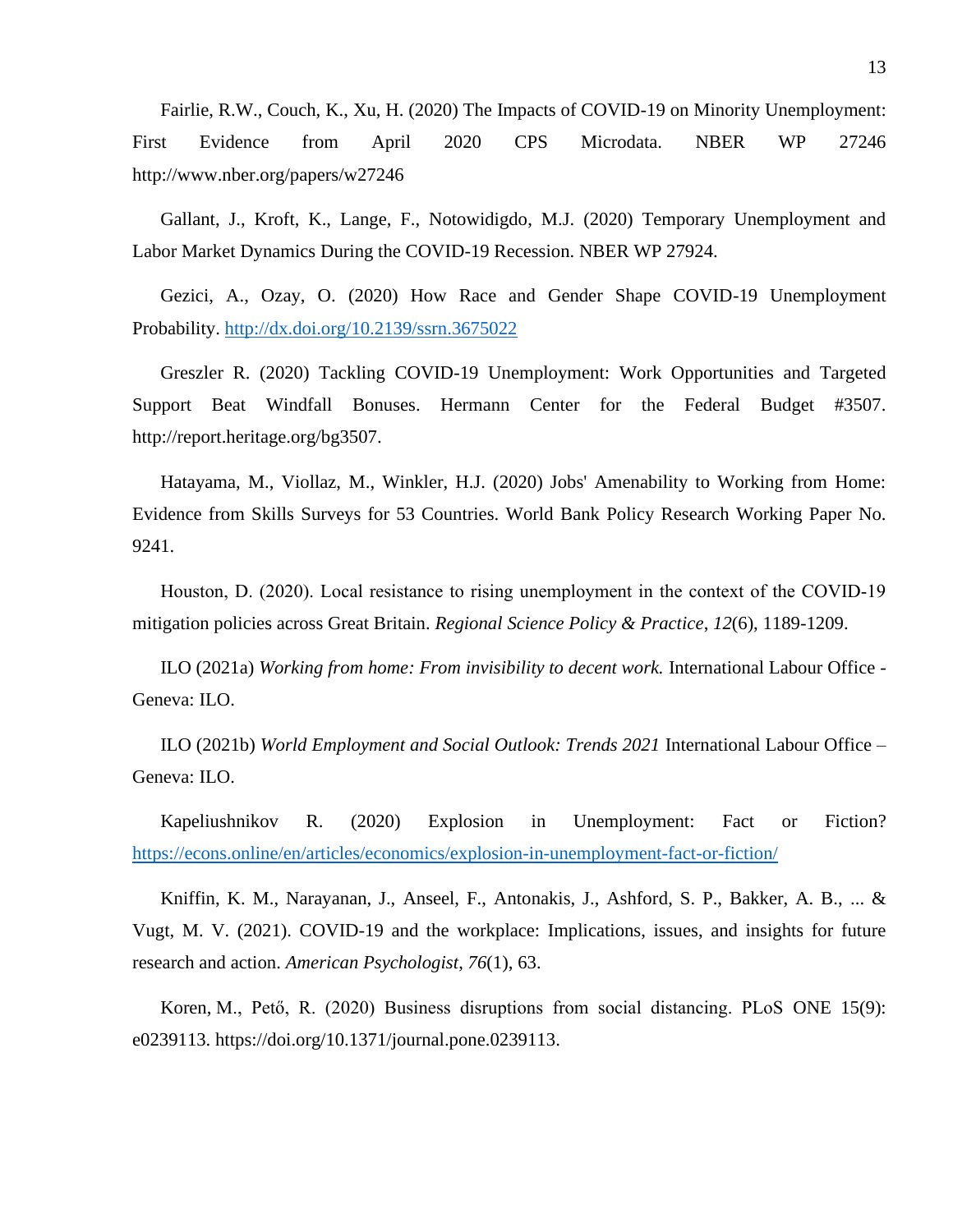Fairlie, R.W., Couch, K., Xu, H. (2020) The Impacts of COVID-19 on Minority Unemployment: First Evidence from April 2020 CPS Microdata. NBER WP 27246 http://www.nber.org/papers/w27246

Gallant, J., Kroft, K., Lange, F., Notowidigdo, M.J. (2020) Temporary Unemployment and Labor Market Dynamics During the COVID-19 Recession. NBER WP 27924.

Gezici, A., Ozay, O. (2020) How Race and Gender Shape COVID-19 Unemployment Probability. [http://dx.doi.org/10.2139/ssrn.3675022](https://dx.doi.org/10.2139/ssrn.3675022)

Greszler R. (2020) Tackling COVID-19 Unemployment: Work Opportunities and Targeted Support Beat Windfall Bonuses. Hermann Center for the Federal Budget #3507. http://report.heritage.org/bg3507.

Hatayama, M., Viollaz, M., Winkler, H.J. (2020) Jobs' Amenability to Working from Home: Evidence from Skills Surveys for 53 Countries. World Bank Policy Research Working Paper No. 9241.

Houston, D. (2020). Local resistance to rising unemployment in the context of the COVID‐19 mitigation policies across Great Britain. *Regional Science Policy & Practice*, *12*(6), 1189-1209.

ILO (2021a) *Working from home: From invisibility to decent work.* International Labour Office - Geneva: ILO.

ILO (2021b) *World Employment and Social Outlook: Trends 2021* International Labour Office – Geneva: ILO.

Kapeliushnikov R. (2020) Explosion in Unemployment: Fact or Fiction? <https://econs.online/en/articles/economics/explosion-in-unemployment-fact-or-fiction/>

Kniffin, K. M., Narayanan, J., Anseel, F., Antonakis, J., Ashford, S. P., Bakker, A. B., ... & Vugt, M. V. (2021). COVID-19 and the workplace: Implications, issues, and insights for future research and action. *American Psychologist*, *76*(1), 63.

Koren, M., Pető, R. (2020) Business disruptions from social distancing. PLoS ONE 15(9): e0239113. [https://doi.org/10.1371/journal.pone.0239113.](https://doi.org/10.1371/journal.pone.0239113)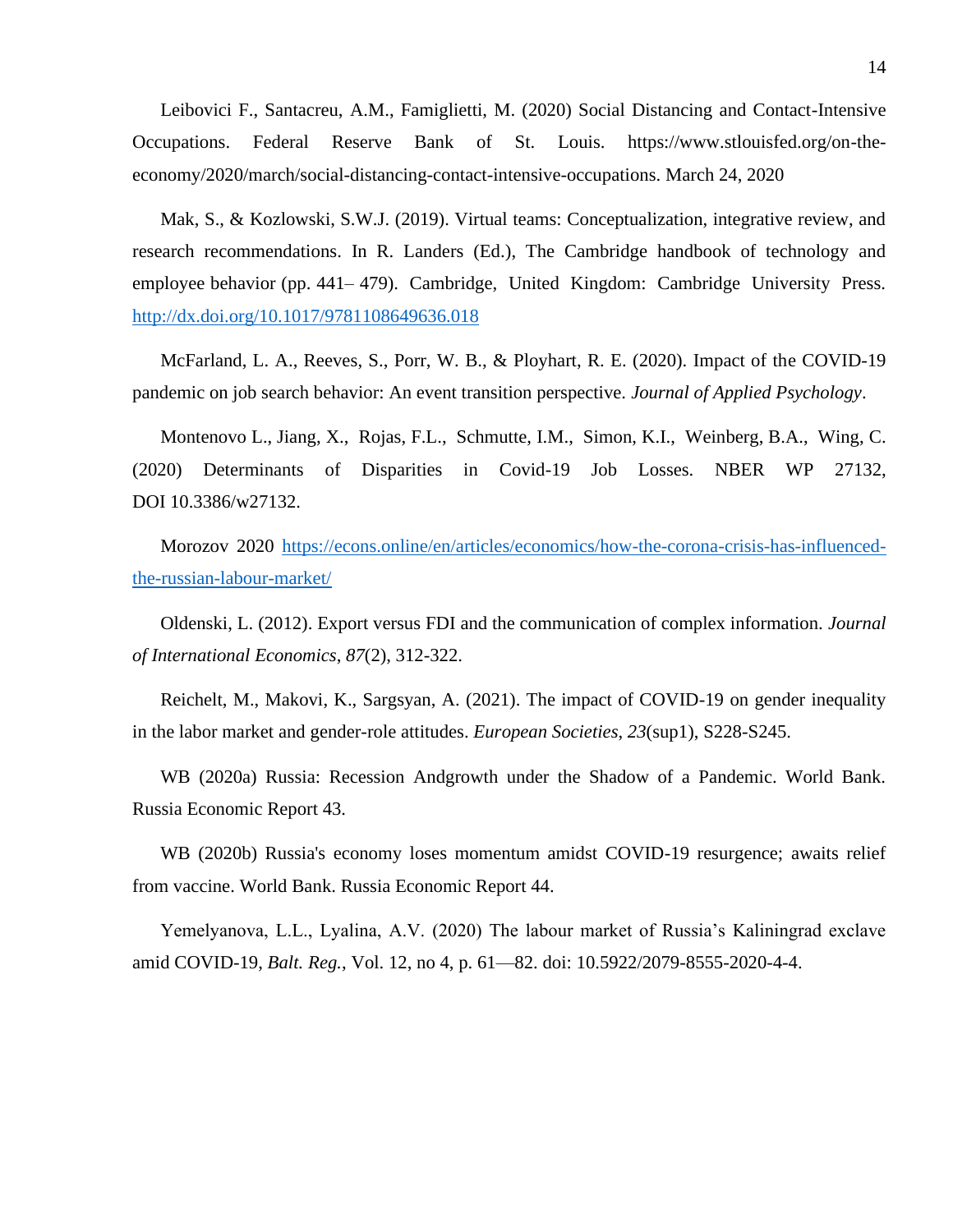Leibovici F., Santacreu, A.M., Famiglietti, M. (2020) Social Distancing and Contact-Intensive Occupations. Federal Reserve Bank of St. Louis. https://www.stlouisfed.org/on-theeconomy/2020/march/social-distancing-contact-intensive-occupations. March 24, 2020

Mak, S., & Kozlowski, S.W.J. (2019). Virtual teams: Conceptualization, integrative review, and research recommendations. In R. Landers (Ed.), The Cambridge handbook of technology and employee behavior (pp. 441– 479). Cambridge, United Kingdom: Cambridge University Press. <http://dx.doi.org/10.1017/9781108649636.018>

McFarland, L. A., Reeves, S., Porr, W. B., & Ployhart, R. E. (2020). Impact of the COVID-19 pandemic on job search behavior: An event transition perspective. *Journal of Applied Psychology*.

Montenovo L., Jiang, X., Rojas, F.L., Schmutte, I.M., Simon, K.I., Weinberg, B.A., Wing, C. (2020) Determinants of Disparities in Covid-19 Job Losses. NBER WP 27132, DOI 10.3386/w27132.

Morozov 2020 [https://econs.online/en/articles/economics/how-the-corona-crisis-has-influenced](https://econs.online/en/articles/economics/how-the-corona-crisis-has-influenced-the-russian-labour-market/)[the-russian-labour-market/](https://econs.online/en/articles/economics/how-the-corona-crisis-has-influenced-the-russian-labour-market/)

Oldenski, L. (2012). Export versus FDI and the communication of complex information. *Journal of International Economics*, *87*(2), 312-322.

Reichelt, M., Makovi, K., Sargsyan, A. (2021). The impact of COVID-19 on gender inequality in the labor market and gender-role attitudes. *European Societies*, *23*(sup1), S228-S245.

WB (2020a) Russia: Recession Andgrowth under the Shadow of a Pandemic. World Bank. Russia Economic Report 43.

WB (2020b) Russia's economy loses momentum amidst COVID-19 resurgence; awaits relief from vaccine. World Bank. Russia Economic Report 44.

Yemelyanova, L.L., Lyalina, A.V. (2020) The labour market of Russia's Kaliningrad exclave amid COVID-19, *Balt. Reg.*, Vol. 12, no 4, p. 61—82. doi: 10.5922/2079-8555-2020-4-4.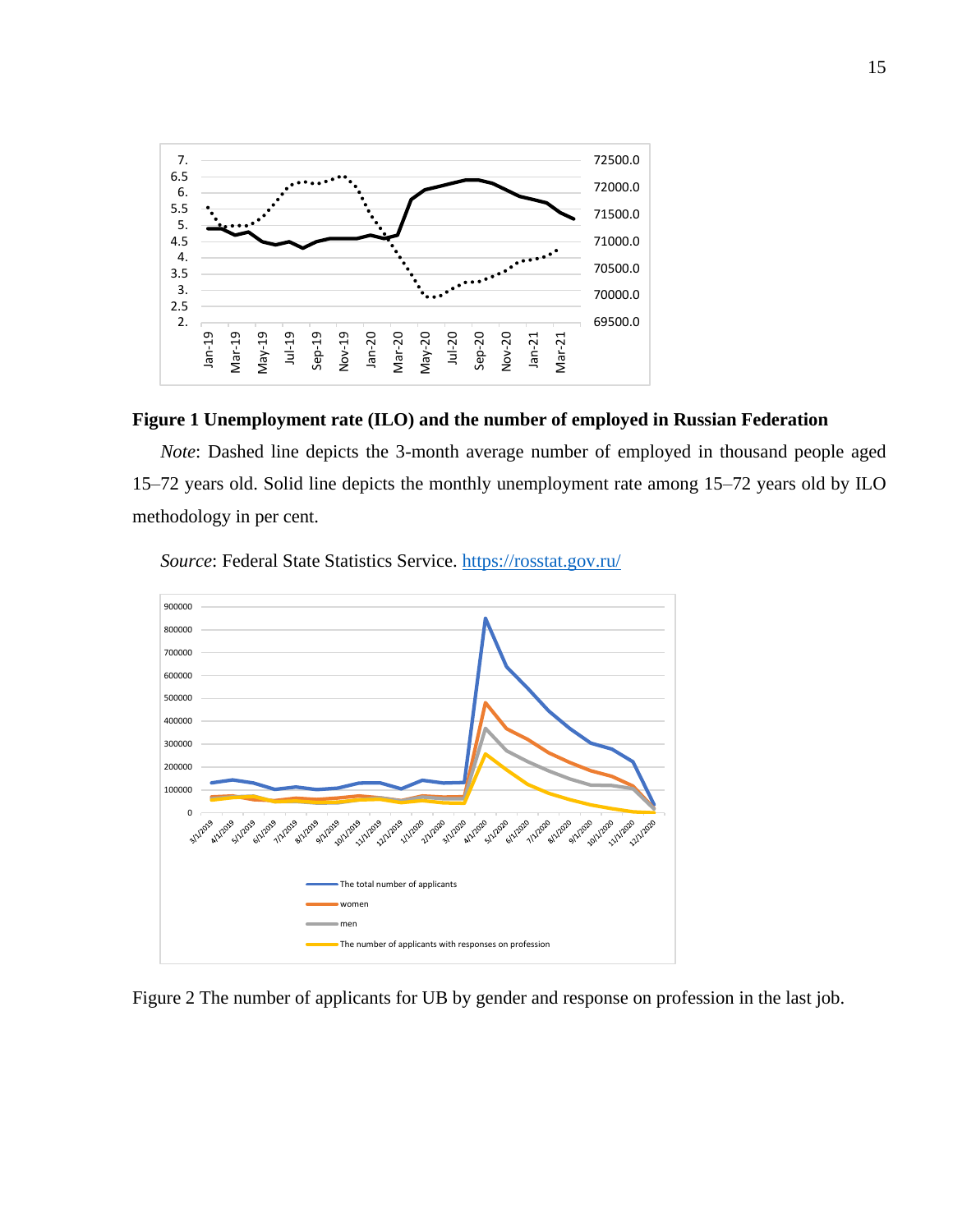

#### **Figure 1 Unemployment rate (ILO) and the number of employed in Russian Federation**

*Note*: Dashed line depicts the 3-month average number of employed in thousand people aged 15–72 years old. Solid line depicts the monthly unemployment rate among 15–72 years old by ILO methodology in per cent.



*Source*: Federal State Statistics Service.<https://rosstat.gov.ru/>

Figure 2 The number of applicants for UB by gender and response on profession in the last job.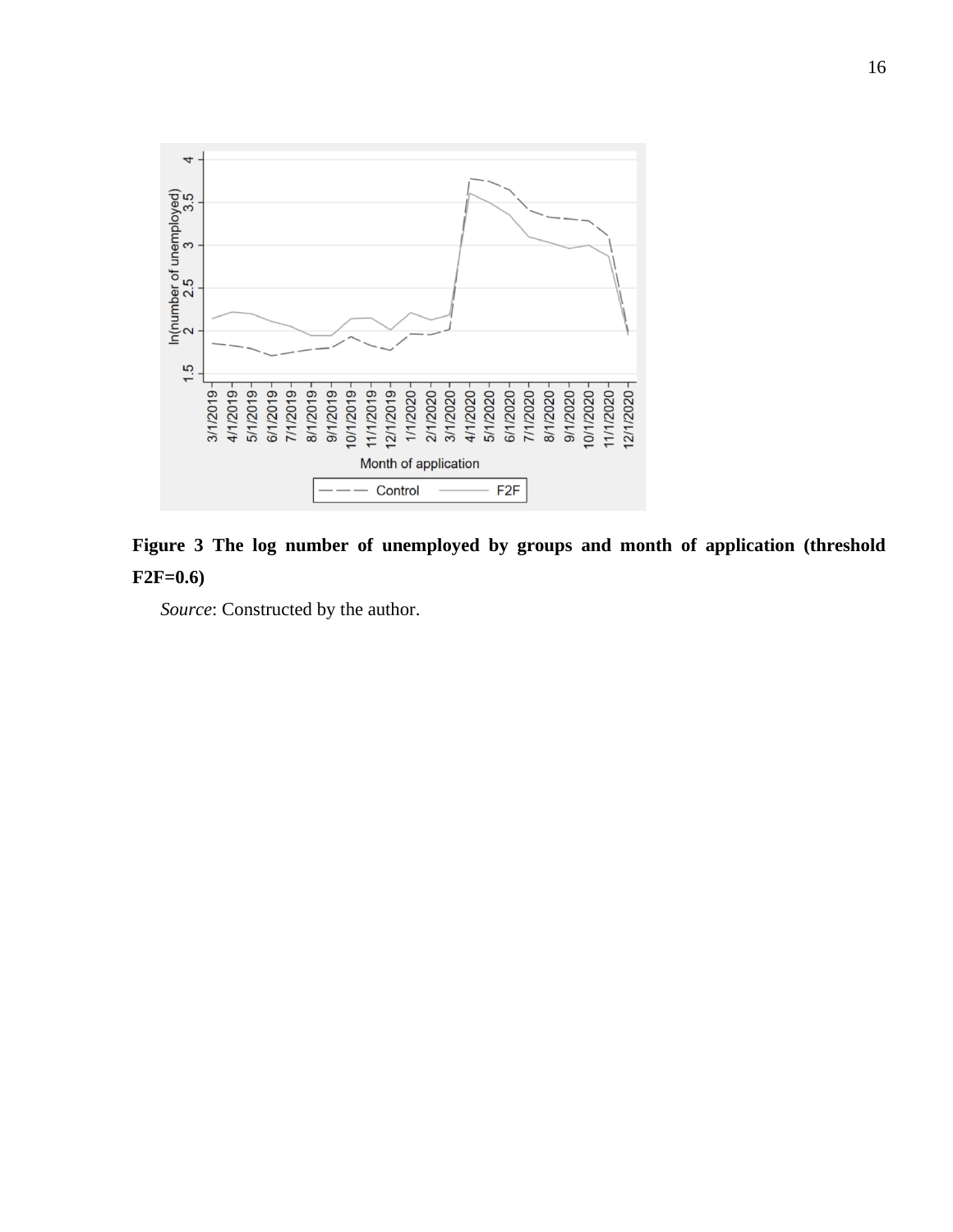



*Source*: Constructed by the author.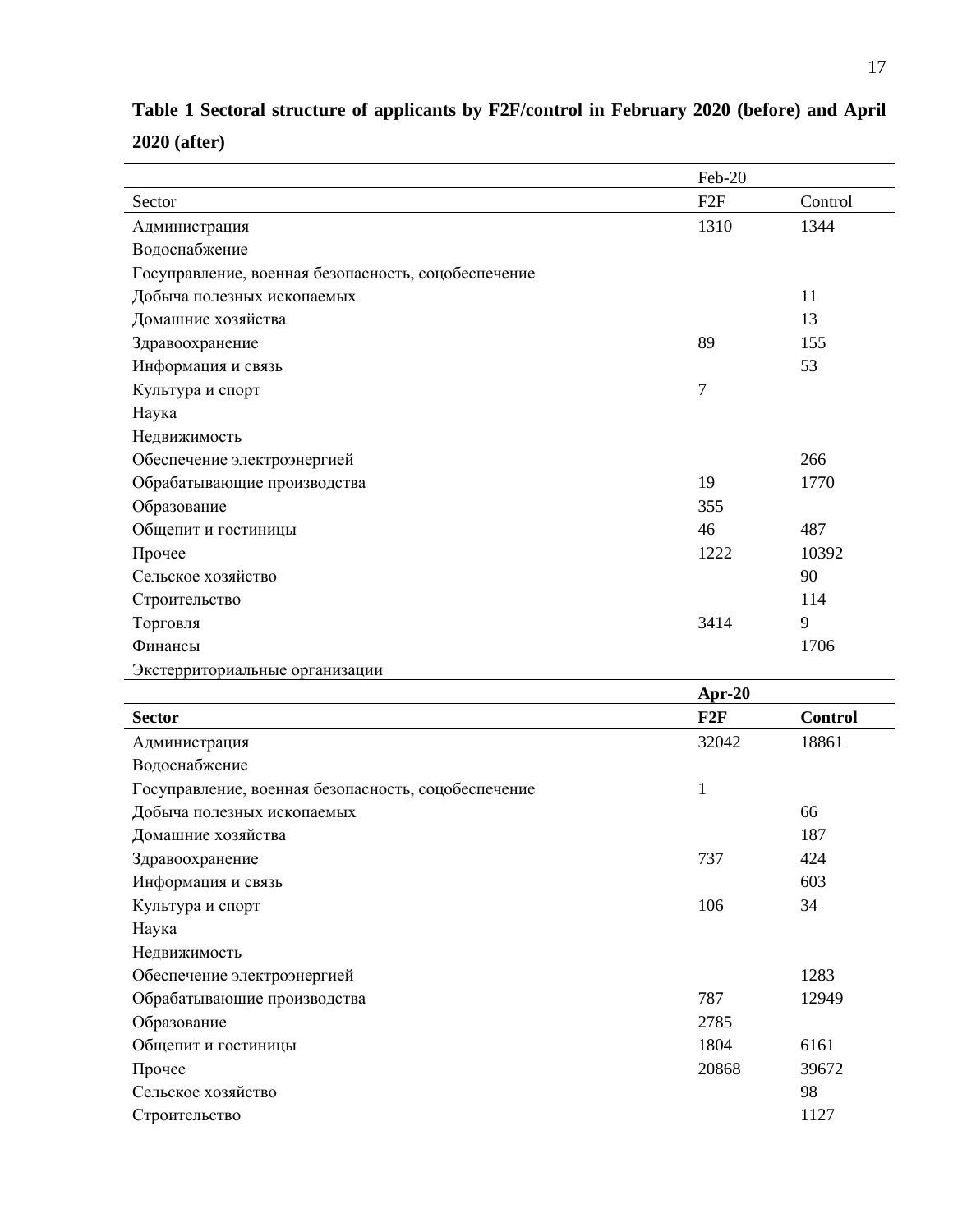|                                                     | Feb-20 |         |
|-----------------------------------------------------|--------|---------|
| Sector                                              | F2F    | Control |
| Администрация                                       | 1310   | 1344    |
| Водоснабжение                                       |        |         |
| Госуправление, военная безопасность, соцобеспечение |        |         |
| Добыча полезных ископаемых                          |        | 11      |
| Домашние хозяйства                                  |        | 13      |
| Здравоохранение                                     | 89     | 155     |
| Информация и связь                                  |        | 53      |
| Культура и спорт                                    | 7      |         |
| Наука                                               |        |         |
| Недвижимость                                        |        |         |
| Обеспечение электроэнергией                         |        | 266     |
| Обрабатывающие производства                         | 19     | 1770    |
| Образование                                         | 355    |         |
| Общепит и гостиницы                                 | 46     | 487     |
| Прочее                                              | 1222   | 10392   |
| Сельское хозяйство                                  |        | 90      |
| Строительство                                       |        | 114     |
| Торговля                                            | 3414   | 9       |
| Финансы                                             |        | 1706    |
| Экстерриториальные организации                      |        |         |

| Table 1 Sectoral structure of applicants by F2F/control in February 2020 (before) and April |  |  |  |  |
|---------------------------------------------------------------------------------------------|--|--|--|--|
| $2020$ (after)                                                                              |  |  |  |  |

|                                                     | Apr-20       |                |
|-----------------------------------------------------|--------------|----------------|
| <b>Sector</b>                                       | F2F          | <b>Control</b> |
| Администрация                                       | 32042        | 18861          |
| Водоснабжение                                       |              |                |
| Госуправление, военная безопасность, соцобеспечение | $\mathbf{1}$ |                |
| Добыча полезных ископаемых                          |              | 66             |
| Домашние хозяйства                                  |              | 187            |
| Здравоохранение                                     | 737          | 424            |
| Информация и связь                                  |              | 603            |
| Культура и спорт                                    | 106          | 34             |
| Наука                                               |              |                |
| Недвижимость                                        |              |                |
| Обеспечение электроэнергией                         |              | 1283           |
| Обрабатывающие производства                         | 787          | 12949          |
| Образование                                         | 2785         |                |
| Общепит и гостиницы                                 | 1804         | 6161           |
| Прочее                                              | 20868        | 39672          |
| Сельское хозяйство                                  |              | 98             |
| Строительство                                       |              | 1127           |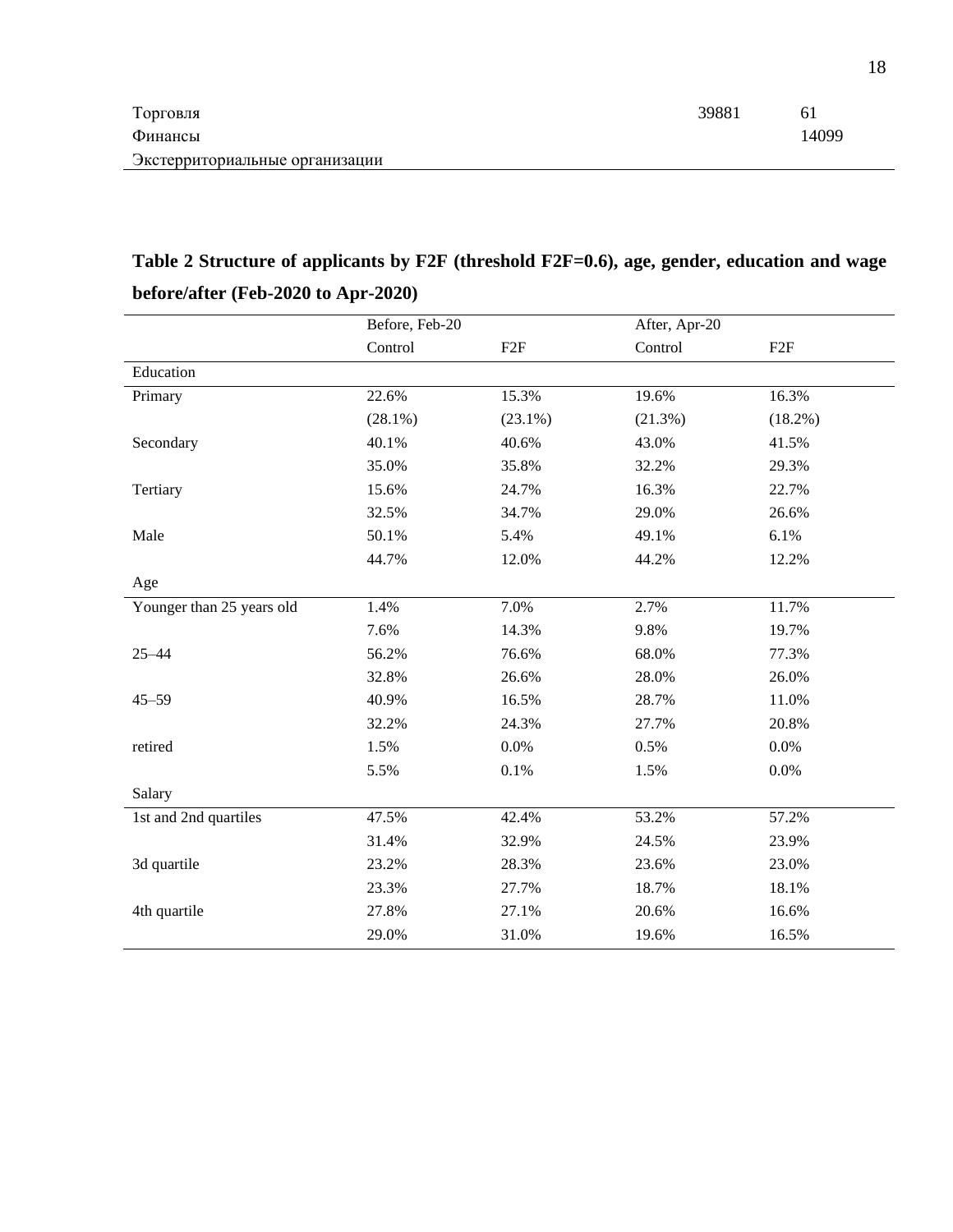| Торговля                       | 39881 | -61   |
|--------------------------------|-------|-------|
| Финансы                        |       | 14099 |
| Экстерриториальные организации |       |       |

## **Table 2 Structure of applicants by F2F (threshold F2F=0.6), age, gender, education and wage before/after (Feb-2020 to Apr-2020)**

| Control<br>Control<br>F2F<br>F2F<br>Education<br>15.3%<br>16.3%<br>Primary<br>22.6%<br>19.6%<br>$(28.1\%)$<br>$(18.2\%)$<br>$(23.1\%)$<br>(21.3%)<br>40.1%<br>40.6%<br>43.0%<br>41.5%<br>Secondary<br>35.0%<br>35.8%<br>32.2%<br>29.3%<br>15.6%<br>24.7%<br>16.3%<br>22.7%<br>Tertiary<br>32.5%<br>34.7%<br>29.0%<br>26.6%<br>6.1%<br>Male<br>50.1%<br>5.4%<br>49.1%<br>44.7%<br>12.0%<br>12.2%<br>44.2%<br>Age<br>11.7%<br>Younger than 25 years old<br>1.4%<br>7.0%<br>2.7%<br>7.6%<br>14.3%<br>9.8%<br>19.7%<br>56.2%<br>76.6%<br>68.0%<br>77.3%<br>$25 - 44$ |  |
|------------------------------------------------------------------------------------------------------------------------------------------------------------------------------------------------------------------------------------------------------------------------------------------------------------------------------------------------------------------------------------------------------------------------------------------------------------------------------------------------------------------------------------------------------------------|--|
|                                                                                                                                                                                                                                                                                                                                                                                                                                                                                                                                                                  |  |
|                                                                                                                                                                                                                                                                                                                                                                                                                                                                                                                                                                  |  |
|                                                                                                                                                                                                                                                                                                                                                                                                                                                                                                                                                                  |  |
|                                                                                                                                                                                                                                                                                                                                                                                                                                                                                                                                                                  |  |
|                                                                                                                                                                                                                                                                                                                                                                                                                                                                                                                                                                  |  |
|                                                                                                                                                                                                                                                                                                                                                                                                                                                                                                                                                                  |  |
|                                                                                                                                                                                                                                                                                                                                                                                                                                                                                                                                                                  |  |
|                                                                                                                                                                                                                                                                                                                                                                                                                                                                                                                                                                  |  |
|                                                                                                                                                                                                                                                                                                                                                                                                                                                                                                                                                                  |  |
|                                                                                                                                                                                                                                                                                                                                                                                                                                                                                                                                                                  |  |
|                                                                                                                                                                                                                                                                                                                                                                                                                                                                                                                                                                  |  |
|                                                                                                                                                                                                                                                                                                                                                                                                                                                                                                                                                                  |  |
|                                                                                                                                                                                                                                                                                                                                                                                                                                                                                                                                                                  |  |
|                                                                                                                                                                                                                                                                                                                                                                                                                                                                                                                                                                  |  |
| 32.8%<br>26.6%<br>28.0%<br>26.0%                                                                                                                                                                                                                                                                                                                                                                                                                                                                                                                                 |  |
| $45 - 59$<br>40.9%<br>16.5%<br>28.7%<br>11.0%                                                                                                                                                                                                                                                                                                                                                                                                                                                                                                                    |  |
| 32.2%<br>24.3%<br>20.8%<br>27.7%                                                                                                                                                                                                                                                                                                                                                                                                                                                                                                                                 |  |
| $0.0\%$<br>retired<br>1.5%<br>0.5%<br>0.0%                                                                                                                                                                                                                                                                                                                                                                                                                                                                                                                       |  |
| 0.1%<br>0.0%<br>5.5%<br>1.5%                                                                                                                                                                                                                                                                                                                                                                                                                                                                                                                                     |  |
| Salary                                                                                                                                                                                                                                                                                                                                                                                                                                                                                                                                                           |  |
| 47.5%<br>42.4%<br>53.2%<br>57.2%<br>1st and 2nd quartiles                                                                                                                                                                                                                                                                                                                                                                                                                                                                                                        |  |
| 31.4%<br>32.9%<br>24.5%<br>23.9%                                                                                                                                                                                                                                                                                                                                                                                                                                                                                                                                 |  |
| 3d quartile<br>23.2%<br>28.3%<br>23.6%<br>23.0%                                                                                                                                                                                                                                                                                                                                                                                                                                                                                                                  |  |
| 23.3%<br>27.7%<br>18.7%<br>18.1%                                                                                                                                                                                                                                                                                                                                                                                                                                                                                                                                 |  |
| 4th quartile<br>27.8%<br>27.1%<br>20.6%<br>16.6%                                                                                                                                                                                                                                                                                                                                                                                                                                                                                                                 |  |
| 31.0%<br>29.0%<br>19.6%<br>16.5%                                                                                                                                                                                                                                                                                                                                                                                                                                                                                                                                 |  |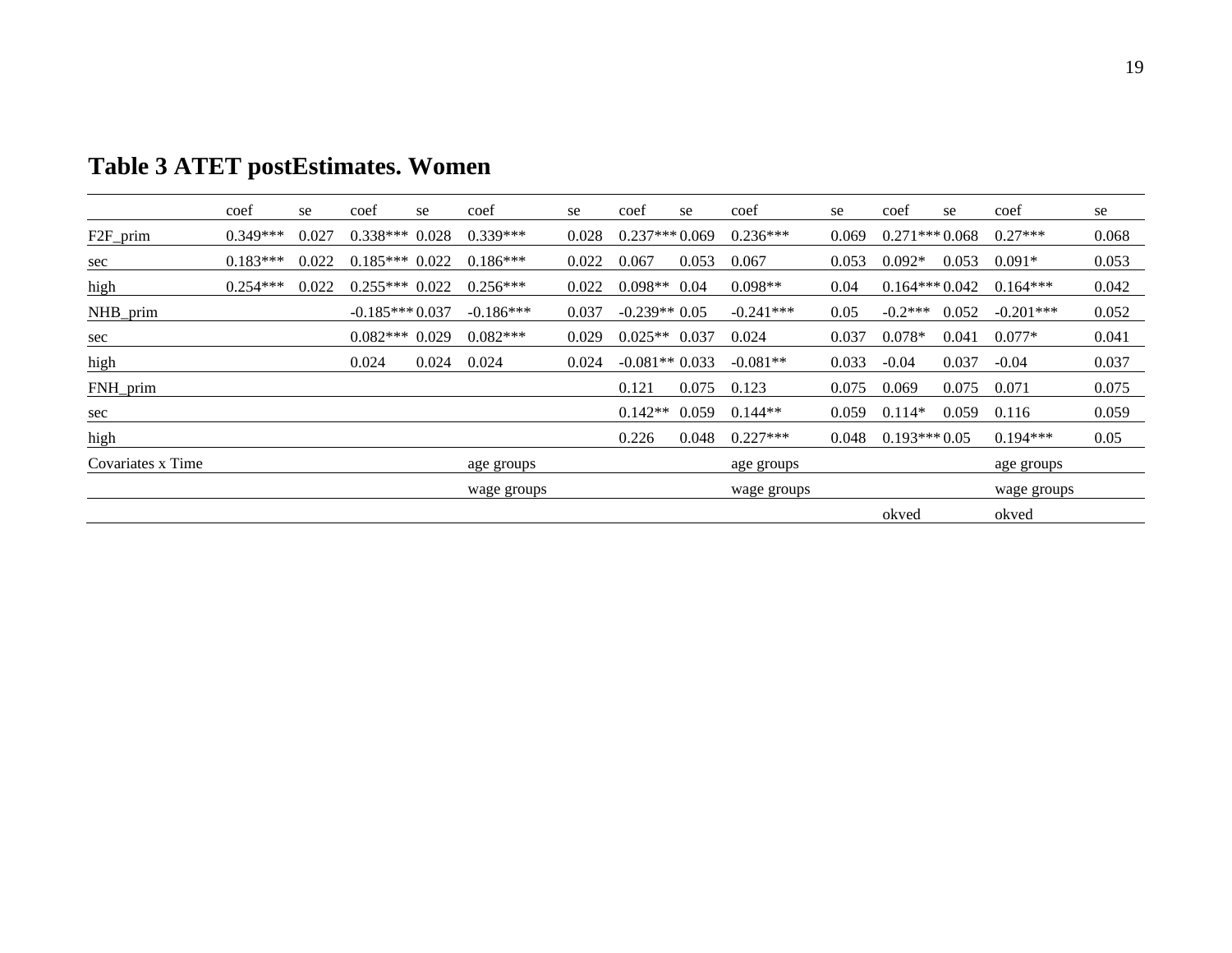|                   | coef       | se    | coef             | se    | coef        | se    | coef            | se    | coef        | se    | coef            | se    | coef        | se    |
|-------------------|------------|-------|------------------|-------|-------------|-------|-----------------|-------|-------------|-------|-----------------|-------|-------------|-------|
| F2F_prim          | $0.349***$ | 0.027 | $0.338***$       | 0.028 | $0.339***$  | 0.028 | $0.237***0.069$ |       | $0.236***$  | 0.069 | $0.271***0.068$ |       | $0.27***$   | 0.068 |
| sec               | $0.183***$ | 0.022 | $0.185***$ 0.022 |       | $0.186***$  | 0.022 | 0.067           | 0.053 | 0.067       | 0.053 | $0.092*$        | 0.053 | $0.091*$    | 0.053 |
| high              | $0.254***$ | 0.022 | $0.255***0.022$  |       | $0.256***$  | 0.022 | $0.098**$       | 0.04  | $0.098**$   | 0.04  | $0.164***0.042$ |       | $0.164***$  | 0.042 |
| NHB_prim          |            |       | $-0.185***0.037$ |       | $-0.186***$ | 0.037 | $-0.239**0.05$  |       | $-0.241***$ | 0.05  | $-0.2***$       | 0.052 | $-0.201***$ | 0.052 |
| <u>sec</u>        |            |       | $0.082***$       | 0.029 | $0.082***$  | 0.029 | $0.025**$ 0.037 |       | 0.024       | 0.037 | $0.078*$        | 0.041 | $0.077*$    | 0.041 |
| high              |            |       | 0.024            | 0.024 | 0.024       | 0.024 | $-0.081**0.033$ |       | $-0.081**$  | 0.033 | $-0.04$         | 0.037 | $-0.04$     | 0.037 |
| FNH_prim          |            |       |                  |       |             |       | 0.121           | 0.075 | 0.123       | 0.075 | 0.069           | 0.075 | 0.071       | 0.075 |
| sec               |            |       |                  |       |             |       | $0.142**$       | 0.059 | $0.144**$   | 0.059 | $0.114*$        | 0.059 | 0.116       | 0.059 |
| high              |            |       |                  |       |             |       | 0.226           | 0.048 | $0.227***$  | 0.048 | $0.193***0.05$  |       | $0.194***$  | 0.05  |
| Covariates x Time |            |       |                  |       | age groups  |       |                 |       | age groups  |       |                 |       | age groups  |       |
|                   |            |       |                  |       | wage groups |       |                 |       | wage groups |       |                 |       | wage groups |       |
|                   |            |       |                  |       |             |       |                 |       |             |       | okved           |       | okved       |       |

# **Table 3 ATET postEstimates. Women**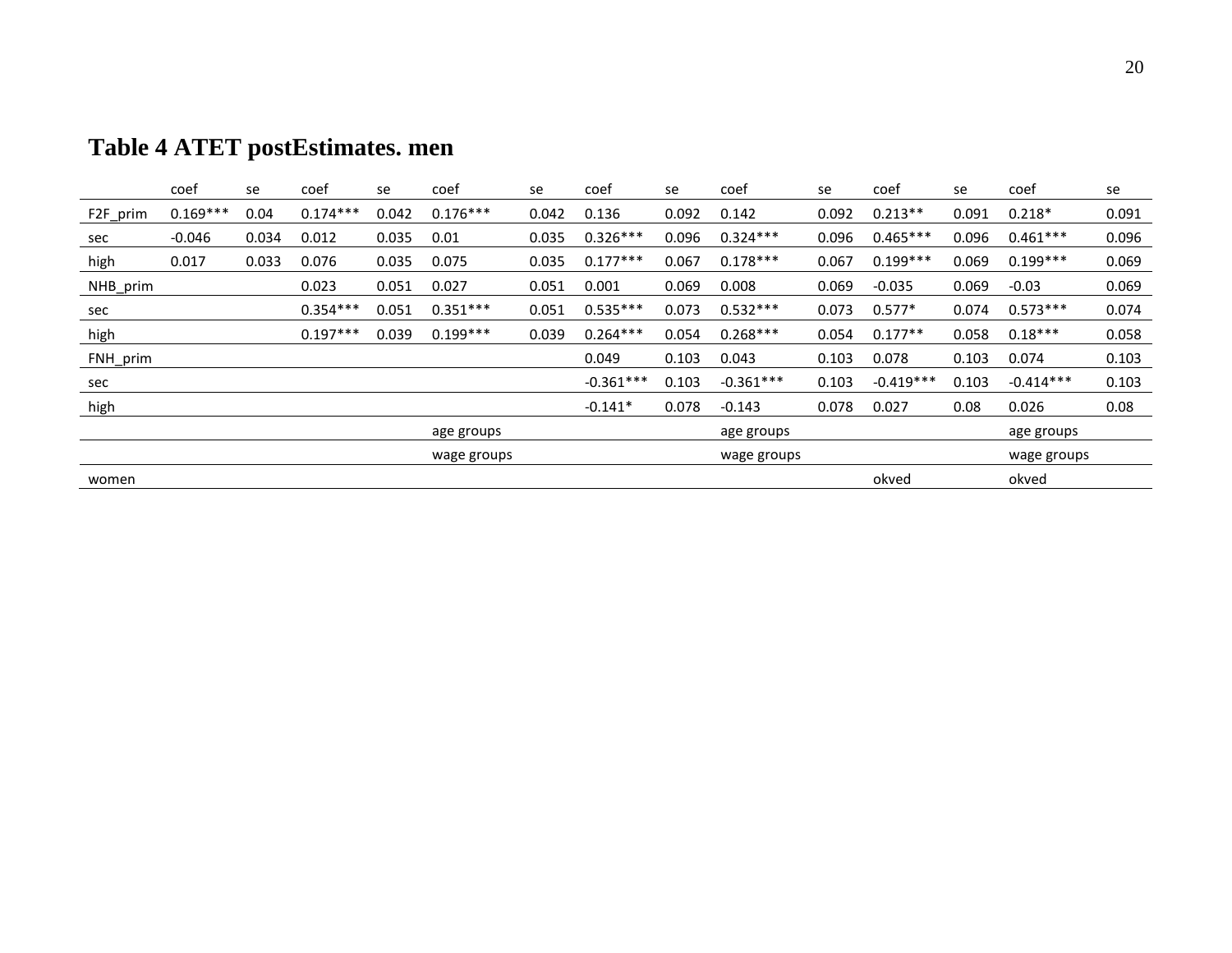| Table 4 ATET postEstimates. men |
|---------------------------------|
|---------------------------------|

|          | coef       | se    | coef       | se    | coef        | se    | coef        | se    | coef        | se    | coef        | se    | coef        | se    |
|----------|------------|-------|------------|-------|-------------|-------|-------------|-------|-------------|-------|-------------|-------|-------------|-------|
| F2F_prim | $0.169***$ | 0.04  | $0.174***$ | 0.042 | $0.176***$  | 0.042 | 0.136       | 0.092 | 0.142       | 0.092 | $0.213**$   | 0.091 | $0.218*$    | 0.091 |
| sec      | $-0.046$   | 0.034 | 0.012      | 0.035 | 0.01        | 0.035 | $0.326***$  | 0.096 | $0.324***$  | 0.096 | $0.465***$  | 0.096 | $0.461***$  | 0.096 |
| high     | 0.017      | 0.033 | 0.076      | 0.035 | 0.075       | 0.035 | $0.177***$  | 0.067 | $0.178***$  | 0.067 | $0.199***$  | 0.069 | $0.199***$  | 0.069 |
| NHB_prim |            |       | 0.023      | 0.051 | 0.027       | 0.051 | 0.001       | 0.069 | 0.008       | 0.069 | $-0.035$    | 0.069 | $-0.03$     | 0.069 |
| sec      |            |       | $0.354***$ | 0.051 | $0.351***$  | 0.051 | $0.535***$  | 0.073 | $0.532***$  | 0.073 | $0.577*$    | 0.074 | $0.573***$  | 0.074 |
| high     |            |       | $0.197***$ | 0.039 | $0.199***$  | 0.039 | $0.264***$  | 0.054 | $0.268***$  | 0.054 | $0.177**$   | 0.058 | $0.18***$   | 0.058 |
| FNH_prim |            |       |            |       |             |       | 0.049       | 0.103 | 0.043       | 0.103 | 0.078       | 0.103 | 0.074       | 0.103 |
| sec      |            |       |            |       |             |       | $-0.361***$ | 0.103 | $-0.361***$ | 0.103 | $-0.419***$ | 0.103 | $-0.414***$ | 0.103 |
| high     |            |       |            |       |             |       | $-0.141*$   | 0.078 | $-0.143$    | 0.078 | 0.027       | 0.08  | 0.026       | 0.08  |
|          |            |       |            |       | age groups  |       |             |       | age groups  |       |             |       | age groups  |       |
|          |            |       |            |       | wage groups |       |             |       | wage groups |       |             |       | wage groups |       |
| women    |            |       |            |       |             |       |             |       |             |       | okved       |       | okved       |       |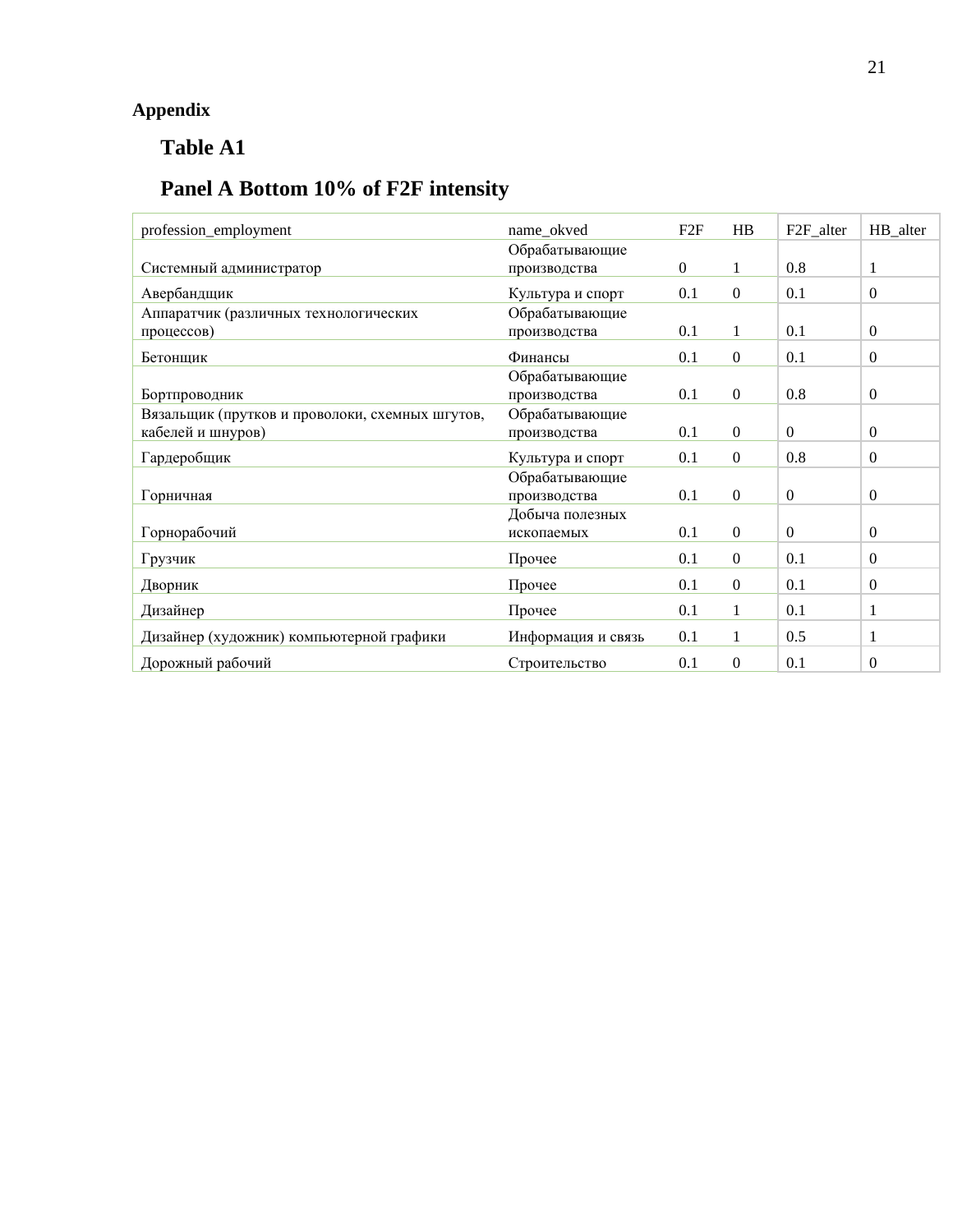## **Appendix**

## **Table A1**

## **Panel A Bottom 10% of F2F intensity**

| profession_employment                           | name_okved         | F2F            | HB               | F <sub>2F_alter</sub> | HB_alter       |
|-------------------------------------------------|--------------------|----------------|------------------|-----------------------|----------------|
|                                                 | Обрабатывающие     |                |                  |                       |                |
| Системный администратор                         | производства       | $\overline{0}$ | 1                | 0.8                   | 1              |
| Авербандщик                                     | Культура и спорт   | 0.1            | $\mathbf{0}$     | 0.1                   | $\overline{0}$ |
| Аппаратчик (различных технологических           | Обрабатывающие     |                |                  |                       |                |
| процессов)                                      | производства       | 0.1            | $\mathbf{1}$     | 0.1                   | $\theta$       |
| Бетонщик                                        | Финансы            | 0.1            | $\mathbf{0}$     | 0.1                   | $\Omega$       |
|                                                 | Обрабатывающие     |                |                  |                       |                |
| Бортпроводник                                   | производства       | 0.1            | $\overline{0}$   | 0.8                   | $\overline{0}$ |
| Вязальщик (прутков и проволоки, схемных шгутов, | Обрабатывающие     |                |                  |                       |                |
| кабелей и шнуров)                               | производства       | 0.1            | $\overline{0}$   | $\overline{0}$        | $\overline{0}$ |
| Гардеробщик                                     | Культура и спорт   | 0.1            | $\boldsymbol{0}$ | 0.8                   | $\theta$       |
|                                                 | Обрабатывающие     |                |                  |                       |                |
| Горничная                                       | производства       | 0.1            | $\boldsymbol{0}$ | $\boldsymbol{0}$      | $\overline{0}$ |
|                                                 | Добыча полезных    |                |                  |                       |                |
| Горнорабочий                                    | ископаемых         | 0.1            | $\boldsymbol{0}$ | $\overline{0}$        | $\overline{0}$ |
| Грузчик                                         | Прочее             | 0.1            | $\mathbf{0}$     | 0.1                   | $\overline{0}$ |
| Дворник                                         | Прочее             | 0.1            | $\mathbf{0}$     | 0.1                   | $\theta$       |
| Дизайнер                                        | Прочее             | 0.1            | 1                | 0.1                   | 1              |
| Дизайнер (художник) компьютерной графики        | Информация и связь | 0.1            | 1                | 0.5                   | 1              |
| Дорожный рабочий                                | Строительство      | 0.1            | $\mathbf{0}$     | 0.1                   | $\Omega$       |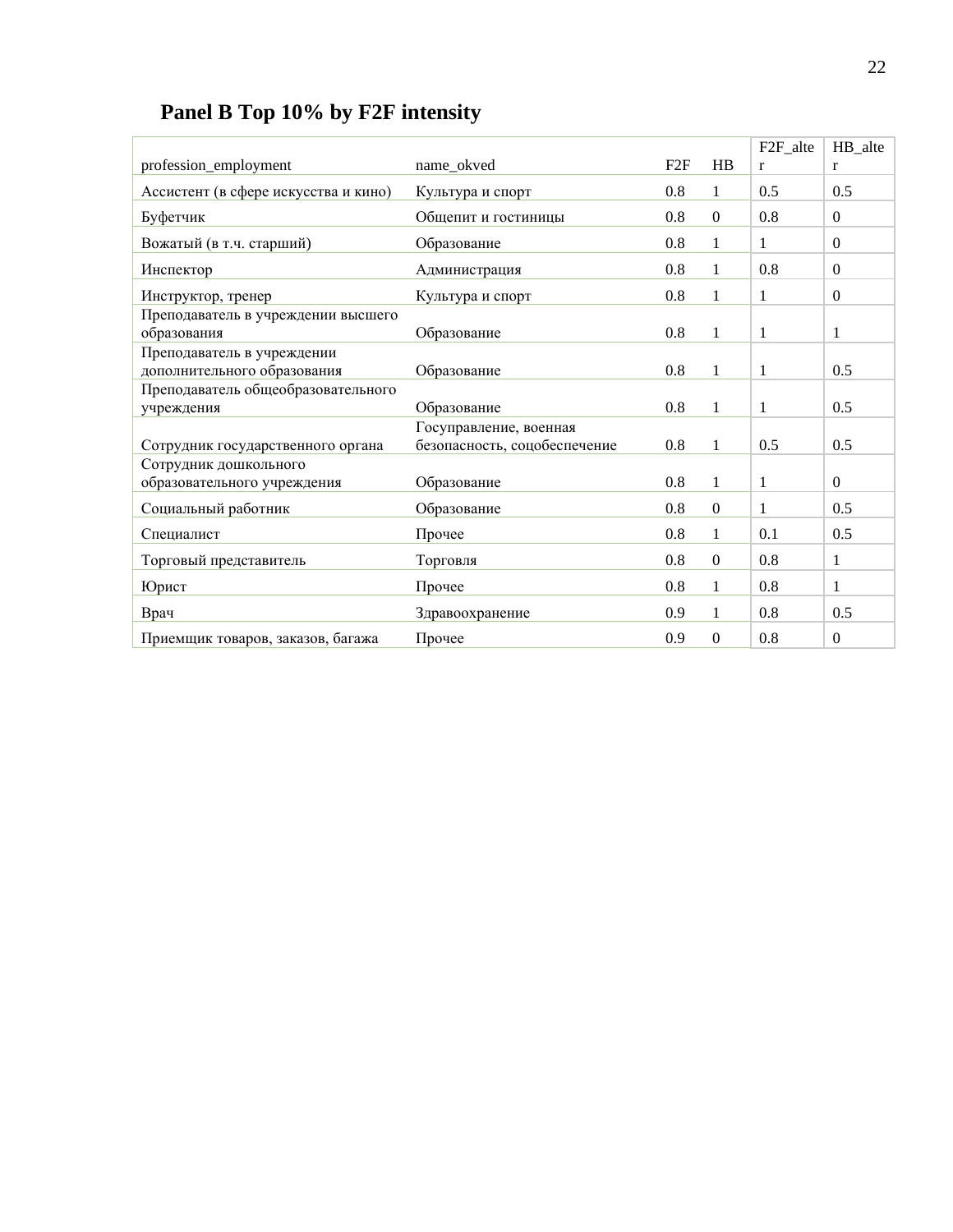|  |  |  |  |  | Panel B Top 10% by F2F intensity |
|--|--|--|--|--|----------------------------------|
|--|--|--|--|--|----------------------------------|

|                                      |                              |         |                  | F <sub>2F_alte</sub> | HB_alte          |
|--------------------------------------|------------------------------|---------|------------------|----------------------|------------------|
| profession_employment                | name_okved                   | F2F     | <b>HB</b>        | $\mathbf{r}$         | r                |
| Ассистент (в сфере искусства и кино) | Культура и спорт             | 0.8     | 1                | 0.5                  | 0.5              |
| Буфетчик                             | Общепит и гостиницы          | 0.8     | $\Omega$         | 0.8                  | $\boldsymbol{0}$ |
| Вожатый (в т.ч. старший)             | Образование                  | 0.8     | 1                | 1                    | $\boldsymbol{0}$ |
| Инспектор                            | Администрация                | 0.8     | 1                | 0.8                  | $\overline{0}$   |
| Инструктор, тренер                   | Культура и спорт             | 0.8     | 1                | 1                    | $\boldsymbol{0}$ |
| Преподаватель в учреждении высшего   |                              |         |                  |                      |                  |
| образования                          | Образование                  | 0.8     | $\mathbf{1}$     | 1                    | 1                |
| Преподаватель в учреждении           |                              |         |                  |                      |                  |
| дополнительного образования          | Образование                  | 0.8     | $\mathbf{1}$     | 1                    | 0.5              |
| Преподаватель общеобразовательного   |                              |         |                  |                      |                  |
| учреждения                           | Образование                  | 0.8     | 1                | 1                    | 0.5              |
|                                      | Госуправление, военная       |         |                  |                      |                  |
| Сотрудник государственного органа    | безопасность, соцобеспечение | $0.8\,$ | 1                | 0.5                  | 0.5              |
| Сотрудник дошкольного                |                              |         |                  |                      |                  |
| образовательного учреждения          | Образование                  | 0.8     | $\mathbf{1}$     | 1                    | $\overline{0}$   |
| Социальный работник                  | Образование                  | 0.8     | $\mathbf{0}$     | $\mathbf{1}$         | 0.5              |
| Специалист                           | Прочее                       | 0.8     | $\mathbf{1}$     | 0.1                  | 0.5              |
| Торговый представитель               | Торговля                     | 0.8     | $\boldsymbol{0}$ | 0.8                  | $\mathbf{1}$     |
| Юрист                                | Прочее                       | 0.8     | $\mathbf{1}$     | 0.8                  | $\mathbf{1}$     |
| Врач                                 | Здравоохранение              | 0.9     | 1                | 0.8                  | 0.5              |
| Приемщик товаров, заказов, багажа    | Прочее                       | 0.9     | $\Omega$         | 0.8                  | $\overline{0}$   |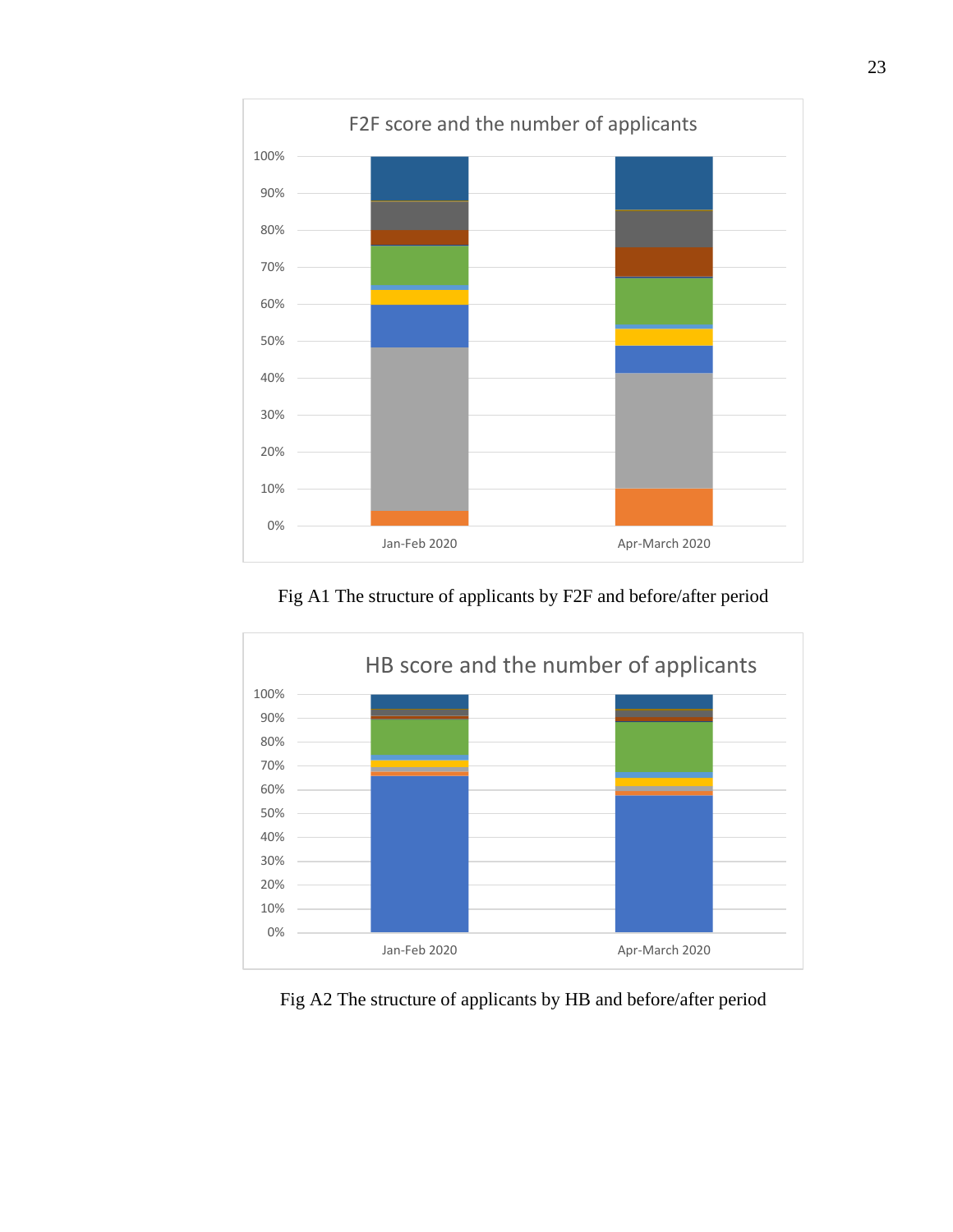

Fig A1 The structure of applicants by F2F and before/after period



Fig A2 The structure of applicants by HB and before/after period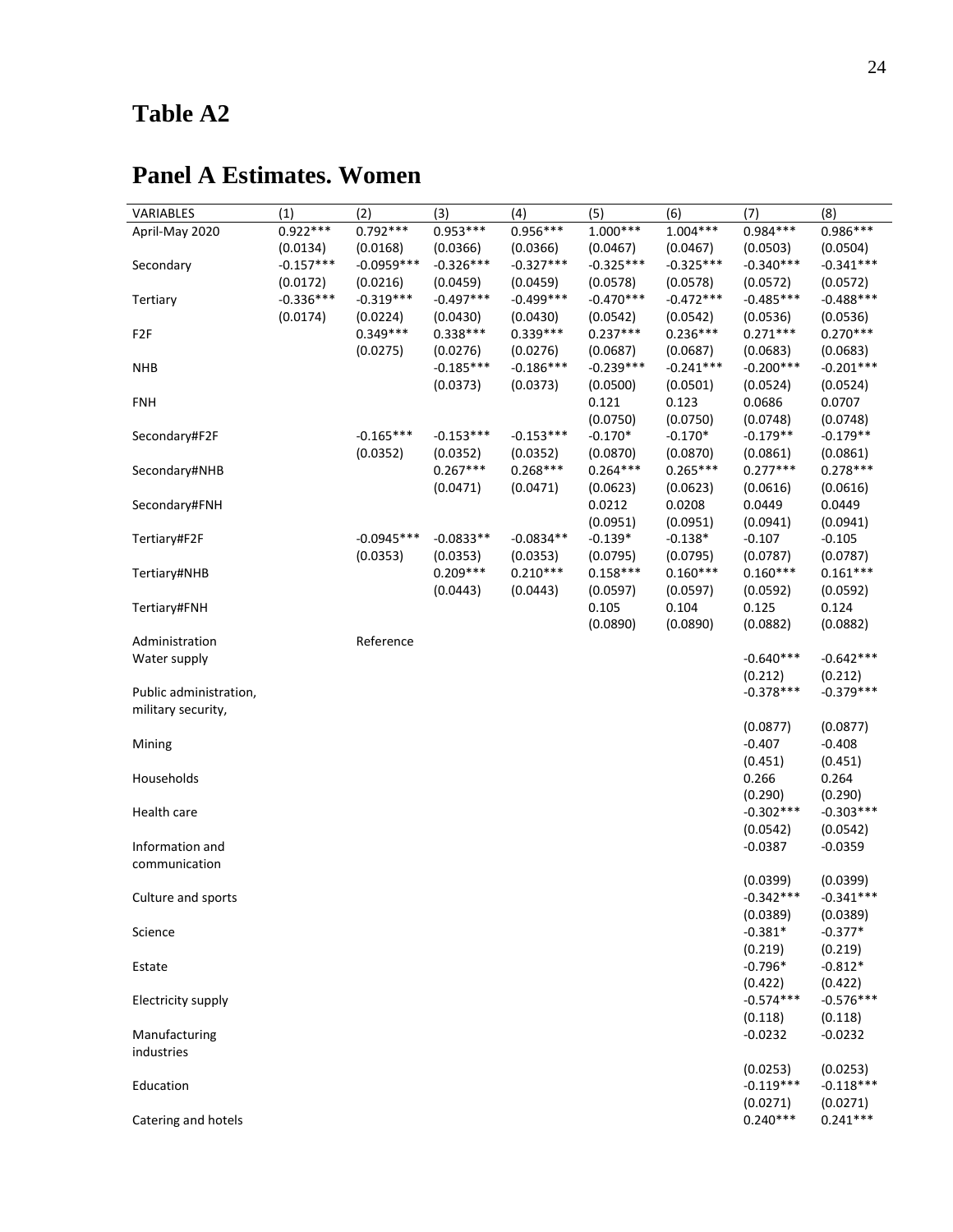# **Table A2**

| VARIABLES              | (1)         | (2)          | (3)         | (4)         | (5)         | (6)         | (7)         | (8)                    |
|------------------------|-------------|--------------|-------------|-------------|-------------|-------------|-------------|------------------------|
| April-May 2020         | $0.922***$  | $0.792***$   | $0.953***$  | 0.956***    | $1.000***$  | $1.004***$  | 0.984 ***   | $0.986***$             |
|                        | (0.0134)    | (0.0168)     | (0.0366)    | (0.0366)    | (0.0467)    | (0.0467)    | (0.0503)    | (0.0504)               |
| Secondary              | $-0.157***$ | $-0.0959***$ | $-0.326***$ | $-0.327***$ | $-0.325***$ | $-0.325***$ | $-0.340***$ | $-0.341***$            |
|                        | (0.0172)    | (0.0216)     | (0.0459)    | (0.0459)    | (0.0578)    | (0.0578)    | (0.0572)    | (0.0572)               |
| Tertiary               | $-0.336***$ | $-0.319***$  | $-0.497***$ | $-0.499***$ | $-0.470***$ | $-0.472***$ | $-0.485***$ | $-0.488***$            |
|                        | (0.0174)    | (0.0224)     | (0.0430)    | (0.0430)    | (0.0542)    | (0.0542)    | (0.0536)    | (0.0536)               |
| F <sub>2</sub> F       |             | $0.349***$   | $0.338***$  | $0.339***$  | $0.237***$  | $0.236***$  | $0.271***$  | $0.270***$             |
|                        |             | (0.0275)     | (0.0276)    | (0.0276)    | (0.0687)    | (0.0687)    | (0.0683)    | (0.0683)               |
| <b>NHB</b>             |             |              | $-0.185***$ | $-0.186***$ | $-0.239***$ | $-0.241***$ | $-0.200***$ | $-0.201***$            |
|                        |             |              | (0.0373)    | (0.0373)    | (0.0500)    | (0.0501)    | (0.0524)    | (0.0524)               |
| <b>FNH</b>             |             |              |             |             | 0.121       | 0.123       | 0.0686      | 0.0707                 |
|                        |             |              |             |             | (0.0750)    | (0.0750)    | (0.0748)    | (0.0748)               |
| Secondary#F2F          |             | $-0.165***$  | $-0.153***$ | $-0.153***$ | $-0.170*$   | $-0.170*$   | $-0.179**$  | $-0.179**$             |
|                        |             | (0.0352)     | (0.0352)    | (0.0352)    | (0.0870)    | (0.0870)    | (0.0861)    | (0.0861)               |
|                        |             |              | $0.267***$  | $0.268***$  | $0.264***$  | $0.265***$  | $0.277***$  | $0.278***$             |
| Secondary#NHB          |             |              |             |             |             |             |             |                        |
|                        |             |              | (0.0471)    | (0.0471)    | (0.0623)    | (0.0623)    | (0.0616)    | (0.0616)               |
| Secondary#FNH          |             |              |             |             | 0.0212      | 0.0208      | 0.0449      | 0.0449                 |
|                        |             |              |             |             | (0.0951)    | (0.0951)    | (0.0941)    | (0.0941)               |
| Tertiary#F2F           |             | $-0.0945***$ | $-0.0833**$ | $-0.0834**$ | $-0.139*$   | $-0.138*$   | $-0.107$    | $-0.105$               |
|                        |             | (0.0353)     | (0.0353)    | (0.0353)    | (0.0795)    | (0.0795)    | (0.0787)    | (0.0787)               |
| Tertiary#NHB           |             |              | $0.209***$  | $0.210***$  | $0.158***$  | $0.160***$  | $0.160***$  | $0.161***$             |
|                        |             |              | (0.0443)    | (0.0443)    | (0.0597)    | (0.0597)    | (0.0592)    | (0.0592)               |
| Tertiary#FNH           |             |              |             |             | 0.105       | 0.104       | 0.125       | 0.124                  |
|                        |             |              |             |             | (0.0890)    | (0.0890)    | (0.0882)    | (0.0882)               |
| Administration         |             | Reference    |             |             |             |             |             |                        |
| Water supply           |             |              |             |             |             |             | $-0.640***$ | $-0.642***$            |
|                        |             |              |             |             |             |             | (0.212)     | (0.212)                |
| Public administration, |             |              |             |             |             |             | $-0.378***$ | $-0.379***$            |
| military security,     |             |              |             |             |             |             |             |                        |
|                        |             |              |             |             |             |             | (0.0877)    | (0.0877)               |
| Mining                 |             |              |             |             |             |             | $-0.407$    | $-0.408$               |
|                        |             |              |             |             |             |             | (0.451)     | (0.451)                |
| Households             |             |              |             |             |             |             | 0.266       | 0.264                  |
|                        |             |              |             |             |             |             | (0.290)     | (0.290)                |
| Health care            |             |              |             |             |             |             | $-0.302***$ | $-0.303***$            |
|                        |             |              |             |             |             |             | (0.0542)    | (0.0542)               |
| Information and        |             |              |             |             |             |             | $-0.0387$   | $-0.0359$              |
| communication          |             |              |             |             |             |             |             |                        |
|                        |             |              |             |             |             |             | (0.0399)    | (0.0399)               |
| Culture and sports     |             |              |             |             |             |             | $-0.342***$ | $-0.341***$            |
|                        |             |              |             |             |             |             | (0.0389)    | (0.0389)               |
| Science                |             |              |             |             |             |             | $-0.381*$   | $-0.377*$              |
|                        |             |              |             |             |             |             | (0.219)     | (0.219)                |
| Estate                 |             |              |             |             |             |             | $-0.796*$   | $-0.812*$              |
|                        |             |              |             |             |             |             | (0.422)     |                        |
| Electricity supply     |             |              |             |             |             |             | $-0.574***$ | (0.422)<br>$-0.576***$ |
|                        |             |              |             |             |             |             |             |                        |
|                        |             |              |             |             |             |             | (0.118)     | (0.118)                |
| Manufacturing          |             |              |             |             |             |             | $-0.0232$   | $-0.0232$              |
| industries             |             |              |             |             |             |             |             |                        |
|                        |             |              |             |             |             |             | (0.0253)    | (0.0253)               |
| Education              |             |              |             |             |             |             | $-0.119***$ | $-0.118***$            |
|                        |             |              |             |             |             |             | (0.0271)    | (0.0271)               |
| Catering and hotels    |             |              |             |             |             |             | $0.240***$  | $0.241***$             |

## **Panel A Estimates. Women**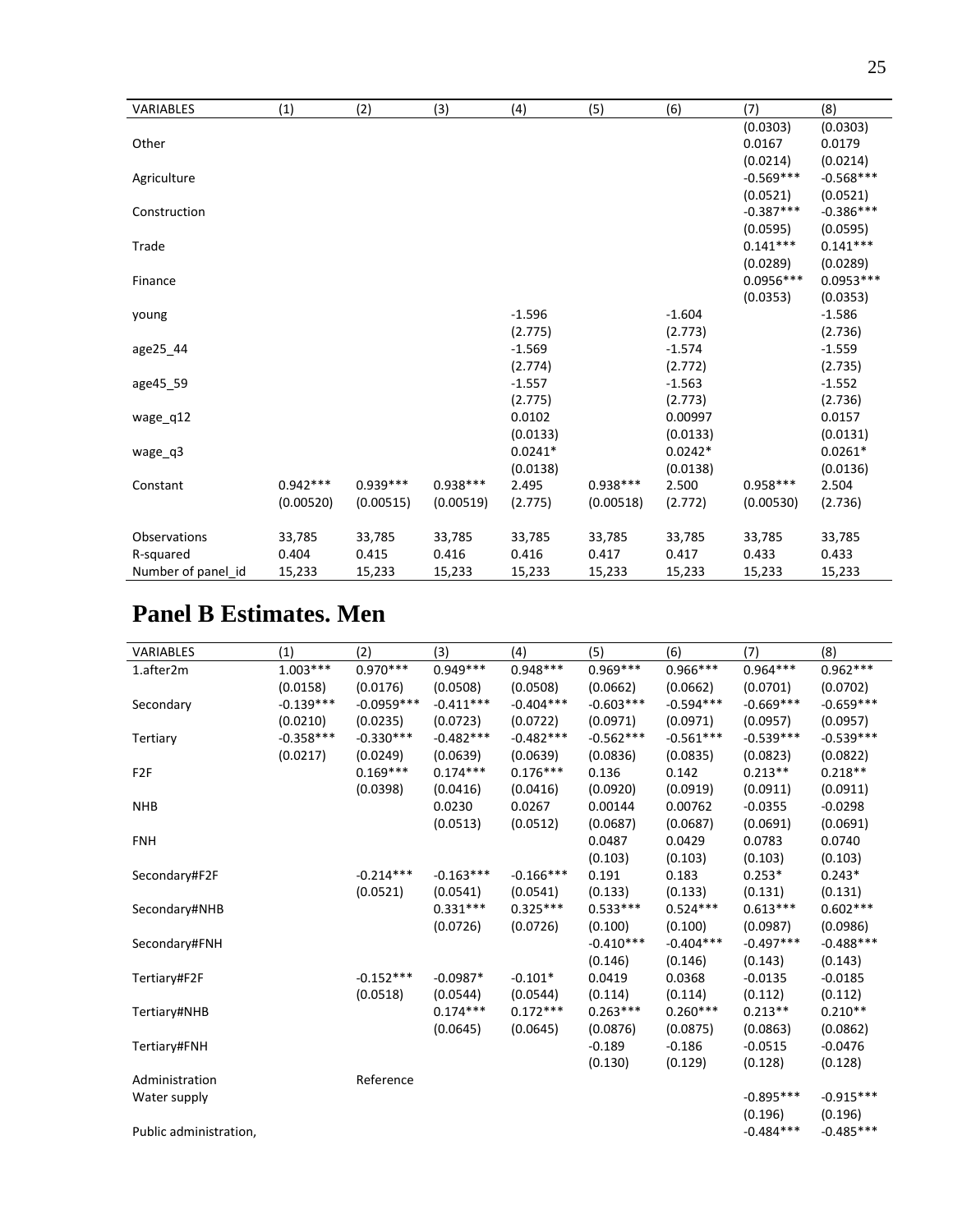| <b>VARIABLES</b>   | (1)        | (2)        | (3)        | (4)       | (5)        | (6)       | (7)         | (8)         |
|--------------------|------------|------------|------------|-----------|------------|-----------|-------------|-------------|
|                    |            |            |            |           |            |           | (0.0303)    | (0.0303)    |
| Other              |            |            |            |           |            |           | 0.0167      | 0.0179      |
|                    |            |            |            |           |            |           | (0.0214)    | (0.0214)    |
| Agriculture        |            |            |            |           |            |           | $-0.569***$ | $-0.568***$ |
|                    |            |            |            |           |            |           | (0.0521)    | (0.0521)    |
| Construction       |            |            |            |           |            |           | $-0.387***$ | $-0.386***$ |
|                    |            |            |            |           |            |           | (0.0595)    | (0.0595)    |
| Trade              |            |            |            |           |            |           | $0.141***$  | $0.141***$  |
|                    |            |            |            |           |            |           | (0.0289)    | (0.0289)    |
| Finance            |            |            |            |           |            |           | $0.0956***$ | $0.0953***$ |
|                    |            |            |            |           |            |           | (0.0353)    | (0.0353)    |
| young              |            |            |            | $-1.596$  |            | $-1.604$  |             | $-1.586$    |
|                    |            |            |            | (2.775)   |            | (2.773)   |             | (2.736)     |
| age25 44           |            |            |            | $-1.569$  |            | $-1.574$  |             | $-1.559$    |
|                    |            |            |            | (2.774)   |            | (2.772)   |             | (2.735)     |
| age45_59           |            |            |            | $-1.557$  |            | $-1.563$  |             | $-1.552$    |
|                    |            |            |            | (2.775)   |            | (2.773)   |             | (2.736)     |
| wage q12           |            |            |            | 0.0102    |            | 0.00997   |             | 0.0157      |
|                    |            |            |            | (0.0133)  |            | (0.0133)  |             | (0.0131)    |
| wage q3            |            |            |            | $0.0241*$ |            | $0.0242*$ |             | $0.0261*$   |
|                    |            |            |            | (0.0138)  |            | (0.0138)  |             | (0.0136)    |
| Constant           | $0.942***$ | $0.939***$ | $0.938***$ | 2.495     | $0.938***$ | 2.500     | $0.958***$  | 2.504       |
|                    | (0.00520)  | (0.00515)  | (0.00519)  | (2.775)   | (0.00518)  | (2.772)   | (0.00530)   | (2.736)     |
|                    |            |            |            |           |            |           |             |             |
| Observations       | 33,785     | 33,785     | 33,785     | 33,785    | 33,785     | 33,785    | 33,785      | 33,785      |
| R-squared          | 0.404      | 0.415      | 0.416      | 0.416     | 0.417      | 0.417     | 0.433       | 0.433       |
| Number of panel id | 15,233     | 15,233     | 15,233     | 15,233    | 15,233     | 15,233    | 15,233      | 15,233      |

# **Panel B Estimates. Men**

| <b>VARIABLES</b>       | (1)         | (2)          | (3)         | (4)         | (5)         | (6)         | (7)         | (8)         |
|------------------------|-------------|--------------|-------------|-------------|-------------|-------------|-------------|-------------|
| 1.after2m              | $1.003***$  | $0.970***$   | $0.949***$  | $0.948***$  | $0.969***$  | $0.966***$  | $0.964***$  | $0.962***$  |
|                        | (0.0158)    | (0.0176)     | (0.0508)    | (0.0508)    | (0.0662)    | (0.0662)    | (0.0701)    | (0.0702)    |
| Secondary              | $-0.139***$ | $-0.0959***$ | $-0.411***$ | $-0.404***$ | $-0.603***$ | $-0.594***$ | $-0.669***$ | $-0.659***$ |
|                        | (0.0210)    | (0.0235)     | (0.0723)    | (0.0722)    | (0.0971)    | (0.0971)    | (0.0957)    | (0.0957)    |
| Tertiary               | $-0.358***$ | $-0.330***$  | $-0.482***$ | $-0.482***$ | $-0.562***$ | $-0.561***$ | $-0.539***$ | $-0.539***$ |
|                        | (0.0217)    | (0.0249)     | (0.0639)    | (0.0639)    | (0.0836)    | (0.0835)    | (0.0823)    | (0.0822)    |
| F <sub>2F</sub>        |             | $0.169***$   | $0.174***$  | $0.176***$  | 0.136       | 0.142       | $0.213**$   | $0.218**$   |
|                        |             | (0.0398)     | (0.0416)    | (0.0416)    | (0.0920)    | (0.0919)    | (0.0911)    | (0.0911)    |
| <b>NHB</b>             |             |              | 0.0230      | 0.0267      | 0.00144     | 0.00762     | $-0.0355$   | $-0.0298$   |
|                        |             |              | (0.0513)    | (0.0512)    | (0.0687)    | (0.0687)    | (0.0691)    | (0.0691)    |
| <b>FNH</b>             |             |              |             |             | 0.0487      | 0.0429      | 0.0783      | 0.0740      |
|                        |             |              |             |             | (0.103)     | (0.103)     | (0.103)     | (0.103)     |
| Secondary#F2F          |             | $-0.214***$  | $-0.163***$ | $-0.166***$ | 0.191       | 0.183       | $0.253*$    | $0.243*$    |
|                        |             | (0.0521)     | (0.0541)    | (0.0541)    | (0.133)     | (0.133)     | (0.131)     | (0.131)     |
| Secondary#NHB          |             |              | $0.331***$  | $0.325***$  | $0.533***$  | $0.524***$  | $0.613***$  | $0.602***$  |
|                        |             |              | (0.0726)    | (0.0726)    | (0.100)     | (0.100)     | (0.0987)    | (0.0986)    |
| Secondary#FNH          |             |              |             |             | $-0.410***$ | $-0.404***$ | $-0.497***$ | $-0.488***$ |
|                        |             |              |             |             | (0.146)     | (0.146)     | (0.143)     | (0.143)     |
| Tertiary#F2F           |             | $-0.152***$  | $-0.0987*$  | $-0.101*$   | 0.0419      | 0.0368      | $-0.0135$   | $-0.0185$   |
|                        |             | (0.0518)     | (0.0544)    | (0.0544)    | (0.114)     | (0.114)     | (0.112)     | (0.112)     |
| Tertiary#NHB           |             |              | $0.174***$  | $0.172***$  | $0.263***$  | $0.260***$  | $0.213**$   | $0.210**$   |
|                        |             |              | (0.0645)    | (0.0645)    | (0.0876)    | (0.0875)    | (0.0863)    | (0.0862)    |
| Tertiary#FNH           |             |              |             |             | $-0.189$    | $-0.186$    | $-0.0515$   | $-0.0476$   |
|                        |             |              |             |             | (0.130)     | (0.129)     | (0.128)     | (0.128)     |
| Administration         |             | Reference    |             |             |             |             |             |             |
| Water supply           |             |              |             |             |             |             | $-0.895***$ | $-0.915***$ |
|                        |             |              |             |             |             |             | (0.196)     | (0.196)     |
| Public administration, |             |              |             |             |             |             | $-0.484***$ | $-0.485***$ |
|                        |             |              |             |             |             |             |             |             |